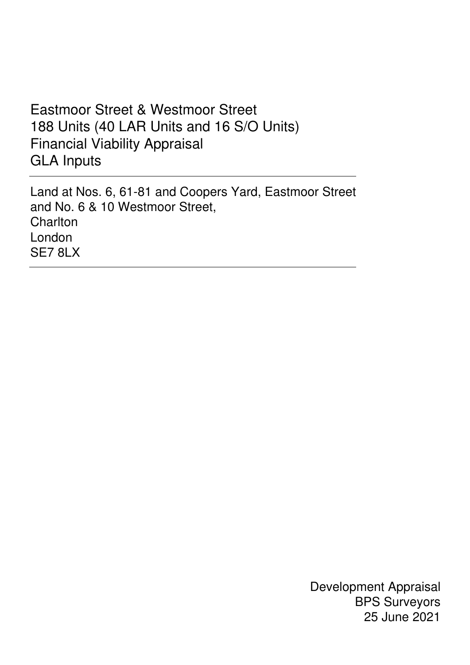# Eastmoor Street & Westmoor Street 188 Units (40 LAR Units and 16 S/O Units) Financial Viability Appraisal GLA Inputs

 Land at Nos. 6, 61-81 and Coopers Yard, Eastmoor Street and No. 6 & 10 Westmoor Street, **Charlton**  London SE7 8LX

> Development Appraisal BPS Surveyors 25 June 2021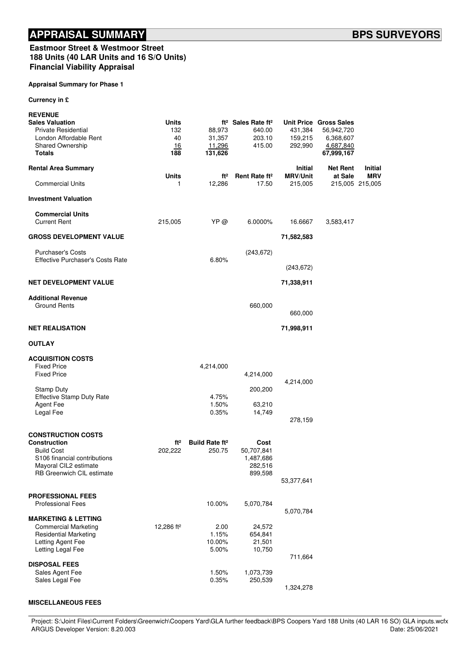#### Eastmoor Street & Westmoor Street 188 Units (40 LAR Units and 16 S/O Units) Financial Viability Appraisal

#### Appraisal Summary for Phase 1

Currency in £

| <b>REVENUE</b><br><b>Sales Valuation</b><br><b>Private Residential</b><br>London Affordable Rent<br>Shared Ownership<br><b>Totals</b>                       | Units<br>132<br>40<br>16<br>188 | 88,973<br>31,357<br>11,296<br>131,626      | ft <sup>2</sup> Sales Rate ft <sup>2</sup><br>640.00<br>203.10<br>415.00 | 431,384<br>159,215<br>292,990     | Unit Price Gross Sales<br>56,942,720<br>6,368,607<br>4,687,840<br>67,999,167 |                       |
|-------------------------------------------------------------------------------------------------------------------------------------------------------------|---------------------------------|--------------------------------------------|--------------------------------------------------------------------------|-----------------------------------|------------------------------------------------------------------------------|-----------------------|
| <b>Rental Area Summary</b>                                                                                                                                  |                                 |                                            |                                                                          | <b>Initial</b><br><b>MRV/Unit</b> | <b>Net Rent</b>                                                              | Initial<br><b>MRV</b> |
| <b>Commercial Units</b>                                                                                                                                     | <b>Units</b><br>1               | ft <sup>2</sup><br>12,286                  | Rent Rate ft <sup>2</sup><br>17.50                                       | 215,005                           | at Sale                                                                      | 215,005 215,005       |
| <b>Investment Valuation</b>                                                                                                                                 |                                 |                                            |                                                                          |                                   |                                                                              |                       |
| <b>Commercial Units</b><br><b>Current Rent</b>                                                                                                              | 215,005                         | YP @                                       | 6.0000%                                                                  | 16.6667                           | 3,583,417                                                                    |                       |
| <b>GROSS DEVELOPMENT VALUE</b>                                                                                                                              |                                 |                                            |                                                                          | 71,582,583                        |                                                                              |                       |
| <b>Purchaser's Costs</b><br><b>Effective Purchaser's Costs Rate</b>                                                                                         |                                 | 6.80%                                      | (243, 672)                                                               |                                   |                                                                              |                       |
|                                                                                                                                                             |                                 |                                            |                                                                          | (243, 672)                        |                                                                              |                       |
| <b>NET DEVELOPMENT VALUE</b>                                                                                                                                |                                 |                                            |                                                                          | 71,338,911                        |                                                                              |                       |
| <b>Additional Revenue</b><br><b>Ground Rents</b>                                                                                                            |                                 |                                            | 660,000                                                                  | 660,000                           |                                                                              |                       |
| <b>NET REALISATION</b>                                                                                                                                      |                                 |                                            |                                                                          | 71,998,911                        |                                                                              |                       |
| <b>OUTLAY</b>                                                                                                                                               |                                 |                                            |                                                                          |                                   |                                                                              |                       |
| <b>ACQUISITION COSTS</b><br><b>Fixed Price</b><br><b>Fixed Price</b>                                                                                        |                                 | 4,214,000                                  | 4,214,000                                                                |                                   |                                                                              |                       |
| <b>Stamp Duty</b><br><b>Effective Stamp Duty Rate</b><br>Agent Fee<br>Legal Fee                                                                             |                                 | 4.75%<br>1.50%<br>0.35%                    | 200,200<br>63,210<br>14,749                                              | 4,214,000<br>278,159              |                                                                              |                       |
| <b>CONSTRUCTION COSTS</b><br><b>Construction</b><br><b>Build Cost</b><br>S106 financial contributions<br>Mayoral CIL2 estimate<br>RB Greenwich CIL estimate | ft <sup>2</sup><br>202,222      | <b>Build Rate ft<sup>2</sup></b><br>250.75 | Cost<br>50,707,841<br>1,487,686<br>282,516<br>899,598                    | 53,377,641                        |                                                                              |                       |
| <b>PROFESSIONAL FEES</b><br><b>Professional Fees</b>                                                                                                        |                                 | 10.00%                                     | 5,070,784                                                                | 5,070,784                         |                                                                              |                       |
| <b>MARKETING &amp; LETTING</b><br><b>Commercial Marketing</b><br><b>Residential Marketing</b><br>Letting Agent Fee<br>Letting Legal Fee                     | 12,286 ft <sup>2</sup>          | 2.00<br>1.15%<br>10.00%<br>5.00%           | 24,572<br>654,841<br>21,501<br>10,750                                    | 711,664                           |                                                                              |                       |
| <b>DISPOSAL FEES</b><br>Sales Agent Fee<br>Sales Legal Fee                                                                                                  |                                 | 1.50%<br>0.35%                             | 1,073,739<br>250,539                                                     | 1,324,278                         |                                                                              |                       |

#### MISCELLANEOUS FEES

Project: S:\Joint Files\Current Folders\Greenwich\Coopers Yard\GLA further feedback\BPS Coopers Yard 188 Units (40 LAR 16 SO) GLA inputs.wcfx<br>Date: 25/06/2021 ARGUS Developer Version: 8.20.003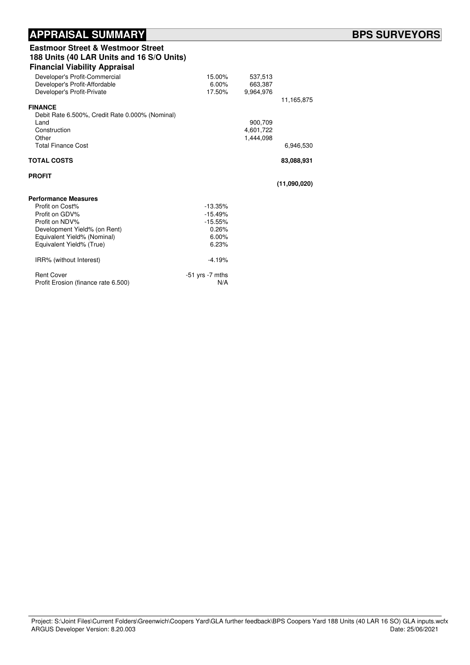#### APPRAISAL SUMMARY **External of the SURVEYORS** BPS SURVEYORS

#### Eastmoor Street & Westmoor Street 188 Units (40 LAR Units and 16 S/O Units) Financial Viability Appraisal

| I mancial viability Applaisai                   |                     |           |              |
|-------------------------------------------------|---------------------|-----------|--------------|
| Developer's Profit-Commercial                   | 15.00%              | 537,513   |              |
| Developer's Profit-Affordable                   | $6.00\%$            | 663,387   |              |
| Developer's Profit-Private                      | 17.50%              | 9,964,976 |              |
|                                                 |                     |           | 11,165,875   |
| <b>FINANCE</b>                                  |                     |           |              |
| Debit Rate 6.500%, Credit Rate 0.000% (Nominal) |                     |           |              |
| Land                                            |                     | 900,709   |              |
| Construction                                    |                     | 4,601,722 |              |
| Other                                           |                     | 1,444,098 |              |
| <b>Total Finance Cost</b>                       |                     |           | 6,946,530    |
| <b>TOTAL COSTS</b>                              |                     |           | 83,088,931   |
|                                                 |                     |           |              |
| <b>PROFIT</b>                                   |                     |           |              |
|                                                 |                     |           | (11,090,020) |
| <b>Performance Measures</b>                     |                     |           |              |
| Profit on Cost%                                 | $-13.35%$           |           |              |
| Profit on GDV%                                  | $-15.49%$           |           |              |
| Profit on NDV%                                  | $-15.55%$           |           |              |
| Development Yield% (on Rent)                    | 0.26%               |           |              |
| Equivalent Yield% (Nominal)                     | 6.00%               |           |              |
| Equivalent Yield% (True)                        | 6.23%               |           |              |
| IRR% (without Interest)                         | $-4.19%$            |           |              |
| <b>Rent Cover</b>                               | $-51$ yrs $-7$ mths |           |              |
| Profit Erosion (finance rate 6.500)             | N/A                 |           |              |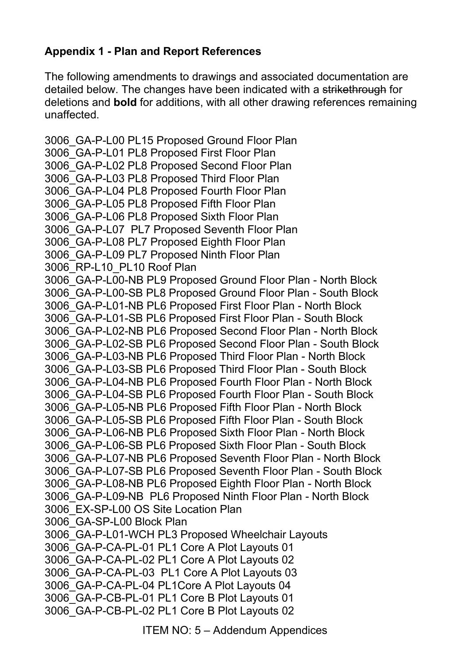# **Appendix 1 - Plan and Report References**

The following amendments to drawings and associated documentation are detailed below. The changes have been indicated with a strikethrough for deletions and **bold** for additions, with all other drawing references remaining unaffected.

3006\_GA-P-L00 PL15 Proposed Ground Floor Plan 3006\_GA-P-L01 PL8 Proposed First Floor Plan 3006\_GA-P-L02 PL8 Proposed Second Floor Plan 3006\_GA-P-L03 PL8 Proposed Third Floor Plan 3006\_GA-P-L04 PL8 Proposed Fourth Floor Plan 3006\_GA-P-L05 PL8 Proposed Fifth Floor Plan 3006\_GA-P-L06 PL8 Proposed Sixth Floor Plan 3006\_GA-P-L07 PL7 Proposed Seventh Floor Plan 3006\_GA-P-L08 PL7 Proposed Eighth Floor Plan 3006\_GA-P-L09 PL7 Proposed Ninth Floor Plan 3006\_RP-L10\_PL10 Roof Plan 3006\_GA-P-L00-NB PL9 Proposed Ground Floor Plan - North Block 3006\_GA-P-L00-SB PL8 Proposed Ground Floor Plan - South Block 3006\_GA-P-L01-NB PL6 Proposed First Floor Plan - North Block 3006\_GA-P-L01-SB PL6 Proposed First Floor Plan - South Block 3006\_GA-P-L02-NB PL6 Proposed Second Floor Plan - North Block 3006\_GA-P-L02-SB PL6 Proposed Second Floor Plan - South Block 3006\_GA-P-L03-NB PL6 Proposed Third Floor Plan - North Block 3006\_GA-P-L03-SB PL6 Proposed Third Floor Plan - South Block 3006\_GA-P-L04-NB PL6 Proposed Fourth Floor Plan - North Block 3006\_GA-P-L04-SB PL6 Proposed Fourth Floor Plan - South Block 3006\_GA-P-L05-NB PL6 Proposed Fifth Floor Plan - North Block 3006\_GA-P-L05-SB PL6 Proposed Fifth Floor Plan - South Block 3006\_GA-P-L06-NB PL6 Proposed Sixth Floor Plan - North Block 3006\_GA-P-L06-SB PL6 Proposed Sixth Floor Plan - South Block 3006\_GA-P-L07-NB PL6 Proposed Seventh Floor Plan - North Block 3006\_GA-P-L07-SB PL6 Proposed Seventh Floor Plan - South Block 3006\_GA-P-L08-NB PL6 Proposed Eighth Floor Plan - North Block 3006\_GA-P-L09-NB PL6 Proposed Ninth Floor Plan - North Block 3006\_EX-SP-L00 OS Site Location Plan 3006\_GA-SP-L00 Block Plan 3006\_GA-P-L01-WCH PL3 Proposed Wheelchair Layouts 3006\_GA-P-CA-PL-01 PL1 Core A Plot Layouts 01 3006\_GA-P-CA-PL-02 PL1 Core A Plot Layouts 02 3006\_GA-P-CA-PL-03 PL1 Core A Plot Layouts 03 3006\_GA-P-CA-PL-04 PL1Core A Plot Layouts 04 3006\_GA-P-CB-PL-01 PL1 Core B Plot Layouts 01 3006\_GA-P-CB-PL-02 PL1 Core B Plot Layouts 02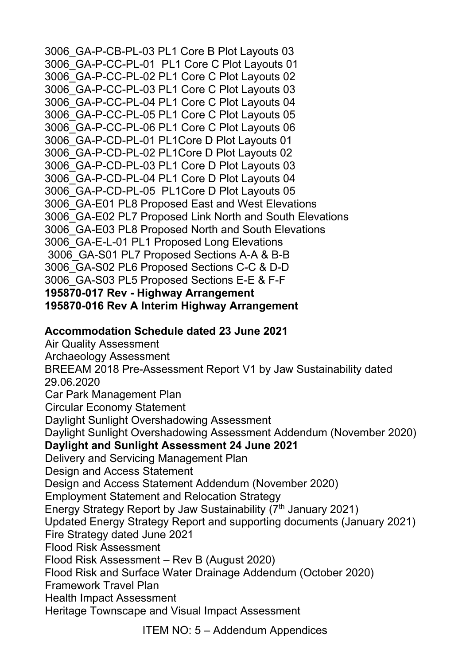3006\_GA-P-CB-PL-03 PL1 Core B Plot Layouts 03 3006\_GA-P-CC-PL-01 PL1 Core C Plot Layouts 01 3006\_GA-P-CC-PL-02 PL1 Core C Plot Layouts 02 3006\_GA-P-CC-PL-03 PL1 Core C Plot Layouts 03 3006\_GA-P-CC-PL-04 PL1 Core C Plot Layouts 04 3006\_GA-P-CC-PL-05 PL1 Core C Plot Layouts 05 3006\_GA-P-CC-PL-06 PL1 Core C Plot Layouts 06 3006\_GA-P-CD-PL-01 PL1Core D Plot Layouts 01 3006\_GA-P-CD-PL-02 PL1Core D Plot Layouts 02 3006\_GA-P-CD-PL-03 PL1 Core D Plot Layouts 03 3006\_GA-P-CD-PL-04 PL1 Core D Plot Layouts 04 3006\_GA-P-CD-PL-05 PL1Core D Plot Layouts 05 3006\_GA-E01 PL8 Proposed East and West Elevations 3006\_GA-E02 PL7 Proposed Link North and South Elevations 3006\_GA-E03 PL8 Proposed North and South Elevations 3006\_GA-E-L-01 PL1 Proposed Long Elevations 3006\_GA-S01 PL7 Proposed Sections A-A & B-B 3006\_GA-S02 PL6 Proposed Sections C-C & D-D 3006\_GA-S03 PL5 Proposed Sections E-E & F-F **195870-017 Rev - Highway Arrangement 195870-016 Rev A Interim Highway Arrangement** 

### **Accommodation Schedule dated 23 June 2021**

Air Quality Assessment Archaeology Assessment BREEAM 2018 Pre-Assessment Report V1 by Jaw Sustainability dated 29.06.2020 Car Park Management Plan Circular Economy Statement Daylight Sunlight Overshadowing Assessment Daylight Sunlight Overshadowing Assessment Addendum (November 2020) **Daylight and Sunlight Assessment 24 June 2021**  Delivery and Servicing Management Plan Design and Access Statement Design and Access Statement Addendum (November 2020) Employment Statement and Relocation Strategy Energy Strategy Report by Jaw Sustainability (7<sup>th</sup> January 2021) Updated Energy Strategy Report and supporting documents (January 2021) Fire Strategy dated June 2021 Flood Risk Assessment Flood Risk Assessment – Rev B (August 2020) Flood Risk and Surface Water Drainage Addendum (October 2020) Framework Travel Plan Health Impact Assessment Heritage Townscape and Visual Impact Assessment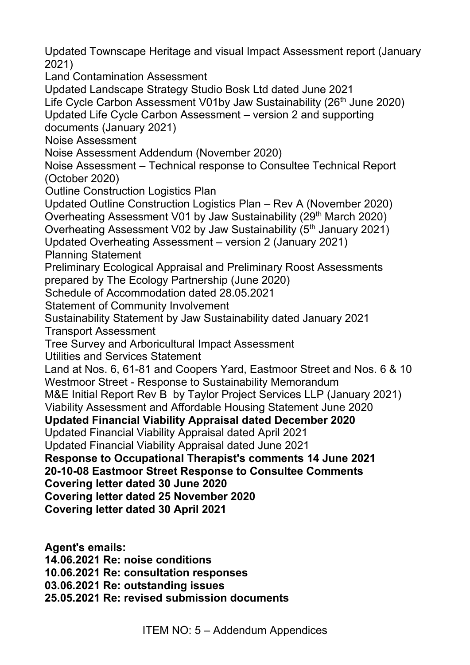Updated Townscape Heritage and visual Impact Assessment report (January 2021)

Land Contamination Assessment

Updated Landscape Strategy Studio Bosk Ltd dated June 2021

Life Cycle Carbon Assessment V01by Jaw Sustainability (26<sup>th</sup> June 2020)

Updated Life Cycle Carbon Assessment – version 2 and supporting

documents (January 2021)

Noise Assessment

Noise Assessment Addendum (November 2020)

Noise Assessment – Technical response to Consultee Technical Report (October 2020)

Outline Construction Logistics Plan

Updated Outline Construction Logistics Plan – Rev A (November 2020) Overheating Assessment V01 by Jaw Sustainability (29<sup>th</sup> March 2020)

Overheating Assessment V02 by Jaw Sustainability (5<sup>th</sup> January 2021)

Updated Overheating Assessment – version 2 (January 2021)

Planning Statement

Preliminary Ecological Appraisal and Preliminary Roost Assessments prepared by The Ecology Partnership (June 2020)

Schedule of Accommodation dated 28.05.2021

Statement of Community Involvement

Sustainability Statement by Jaw Sustainability dated January 2021

Transport Assessment

Tree Survey and Arboricultural Impact Assessment

Utilities and Services Statement

Land at Nos. 6, 61-81 and Coopers Yard, Eastmoor Street and Nos. 6 & 10 Westmoor Street - Response to Sustainability Memorandum

M&E Initial Report Rev B by Taylor Project Services LLP (January 2021)

Viability Assessment and Affordable Housing Statement June 2020

**Updated Financial Viability Appraisal dated December 2020** 

Updated Financial Viability Appraisal dated April 2021

Updated Financial Viability Appraisal dated June 2021

**Response to Occupational Therapist's comments 14 June 2021 20-10-08 Eastmoor Street Response to Consultee Comments** 

**Covering letter dated 30 June 2020** 

**Covering letter dated 25 November 2020** 

**Covering letter dated 30 April 2021**

**Agent's emails: 14.06.2021 Re: noise conditions 10.06.2021 Re: consultation responses 03.06.2021 Re: outstanding issues 25.05.2021 Re: revised submission documents**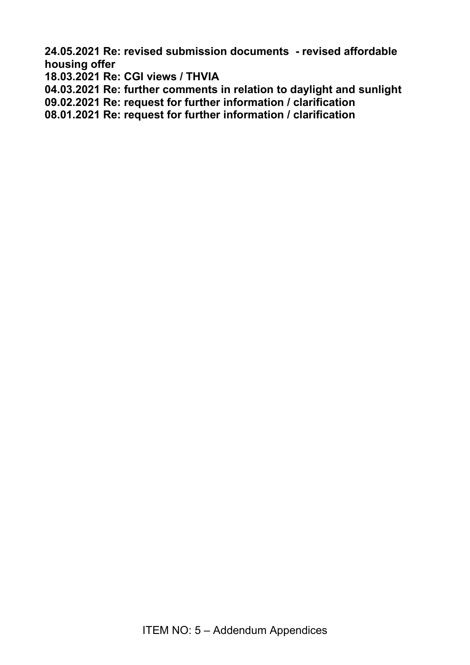**24.05.2021 Re: revised submission documents - revised affordable housing offer** 

**18.03.2021 Re: CGI views / THVIA** 

**04.03.2021 Re: further comments in relation to daylight and sunlight** 

**09.02.2021 Re: request for further information / clarification** 

**08.01.2021 Re: request for further information / clarification**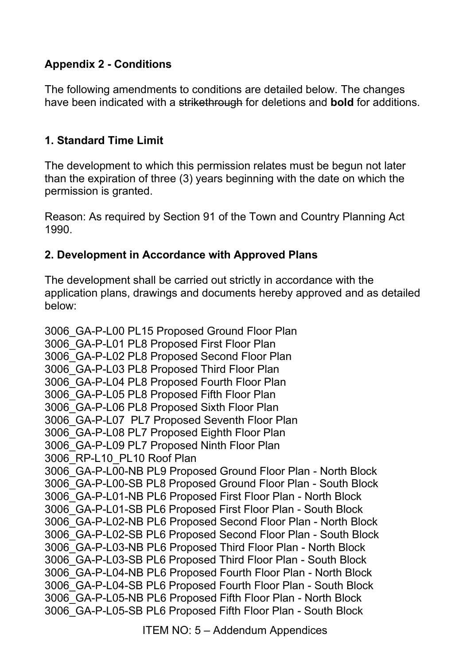### **Appendix 2 - Conditions**

The following amendments to conditions are detailed below. The changes have been indicated with a strikethrough for deletions and **bold** for additions.

#### **1. Standard Time Limit**

The development to which this permission relates must be begun not later than the expiration of three (3) years beginning with the date on which the permission is granted.

Reason: As required by Section 91 of the Town and Country Planning Act 1990.

#### **2. Development in Accordance with Approved Plans**

The development shall be carried out strictly in accordance with the application plans, drawings and documents hereby approved and as detailed below:

3006\_GA-P-L00 PL15 Proposed Ground Floor Plan 3006\_GA-P-L01 PL8 Proposed First Floor Plan 3006\_GA-P-L02 PL8 Proposed Second Floor Plan 3006\_GA-P-L03 PL8 Proposed Third Floor Plan 3006\_GA-P-L04 PL8 Proposed Fourth Floor Plan 3006\_GA-P-L05 PL8 Proposed Fifth Floor Plan 3006\_GA-P-L06 PL8 Proposed Sixth Floor Plan 3006\_GA-P-L07 PL7 Proposed Seventh Floor Plan 3006\_GA-P-L08 PL7 Proposed Eighth Floor Plan 3006\_GA-P-L09 PL7 Proposed Ninth Floor Plan 3006\_RP-L10\_PL10 Roof Plan 3006\_GA-P-L00-NB PL9 Proposed Ground Floor Plan - North Block 3006\_GA-P-L00-SB PL8 Proposed Ground Floor Plan - South Block 3006\_GA-P-L01-NB PL6 Proposed First Floor Plan - North Block 3006\_GA-P-L01-SB PL6 Proposed First Floor Plan - South Block 3006\_GA-P-L02-NB PL6 Proposed Second Floor Plan - North Block 3006\_GA-P-L02-SB PL6 Proposed Second Floor Plan - South Block 3006\_GA-P-L03-NB PL6 Proposed Third Floor Plan - North Block 3006\_GA-P-L03-SB PL6 Proposed Third Floor Plan - South Block 3006\_GA-P-L04-NB PL6 Proposed Fourth Floor Plan - North Block 3006\_GA-P-L04-SB PL6 Proposed Fourth Floor Plan - South Block 3006\_GA-P-L05-NB PL6 Proposed Fifth Floor Plan - North Block 3006\_GA-P-L05-SB PL6 Proposed Fifth Floor Plan - South Block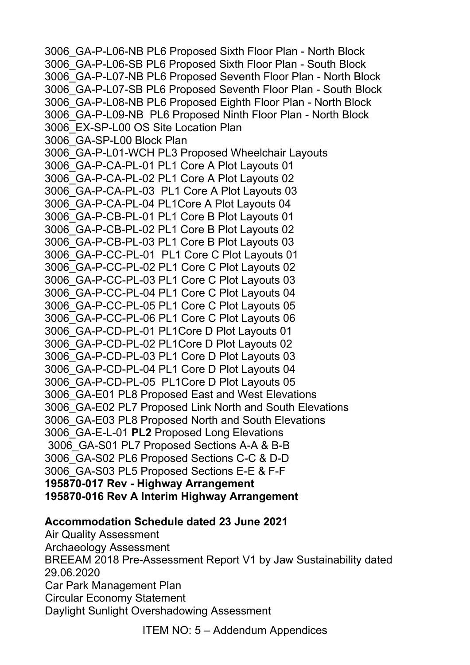3006\_GA-P-L06-NB PL6 Proposed Sixth Floor Plan - North Block 3006\_GA-P-L06-SB PL6 Proposed Sixth Floor Plan - South Block 3006\_GA-P-L07-NB PL6 Proposed Seventh Floor Plan - North Block 3006\_GA-P-L07-SB PL6 Proposed Seventh Floor Plan - South Block 3006\_GA-P-L08-NB PL6 Proposed Eighth Floor Plan - North Block 3006\_GA-P-L09-NB PL6 Proposed Ninth Floor Plan - North Block 3006\_EX-SP-L00 OS Site Location Plan 3006\_GA-SP-L00 Block Plan 3006\_GA-P-L01-WCH PL3 Proposed Wheelchair Layouts 3006\_GA-P-CA-PL-01 PL1 Core A Plot Layouts 01 3006\_GA-P-CA-PL-02 PL1 Core A Plot Layouts 02 3006\_GA-P-CA-PL-03 PL1 Core A Plot Layouts 03 3006\_GA-P-CA-PL-04 PL1Core A Plot Layouts 04 3006\_GA-P-CB-PL-01 PL1 Core B Plot Layouts 01 3006\_GA-P-CB-PL-02 PL1 Core B Plot Layouts 02 3006\_GA-P-CB-PL-03 PL1 Core B Plot Layouts 03 3006\_GA-P-CC-PL-01 PL1 Core C Plot Layouts 01 3006\_GA-P-CC-PL-02 PL1 Core C Plot Layouts 02 3006\_GA-P-CC-PL-03 PL1 Core C Plot Layouts 03 3006\_GA-P-CC-PL-04 PL1 Core C Plot Layouts 04 3006\_GA-P-CC-PL-05 PL1 Core C Plot Layouts 05 3006\_GA-P-CC-PL-06 PL1 Core C Plot Layouts 06 3006\_GA-P-CD-PL-01 PL1Core D Plot Layouts 01 3006\_GA-P-CD-PL-02 PL1Core D Plot Layouts 02 3006\_GA-P-CD-PL-03 PL1 Core D Plot Layouts 03 3006\_GA-P-CD-PL-04 PL1 Core D Plot Layouts 04 3006\_GA-P-CD-PL-05 PL1Core D Plot Layouts 05 3006\_GA-E01 PL8 Proposed East and West Elevations 3006\_GA-E02 PL7 Proposed Link North and South Elevations 3006\_GA-E03 PL8 Proposed North and South Elevations 3006\_GA-E-L-01 **PL2** Proposed Long Elevations 3006\_GA-S01 PL7 Proposed Sections A-A & B-B 3006\_GA-S02 PL6 Proposed Sections C-C & D-D 3006\_GA-S03 PL5 Proposed Sections E-E & F-F **195870-017 Rev - Highway Arrangement 195870-016 Rev A Interim Highway Arrangement** 

#### **Accommodation Schedule dated 23 June 2021**

Air Quality Assessment Archaeology Assessment BREEAM 2018 Pre-Assessment Report V1 by Jaw Sustainability dated 29.06.2020 Car Park Management Plan Circular Economy Statement Daylight Sunlight Overshadowing Assessment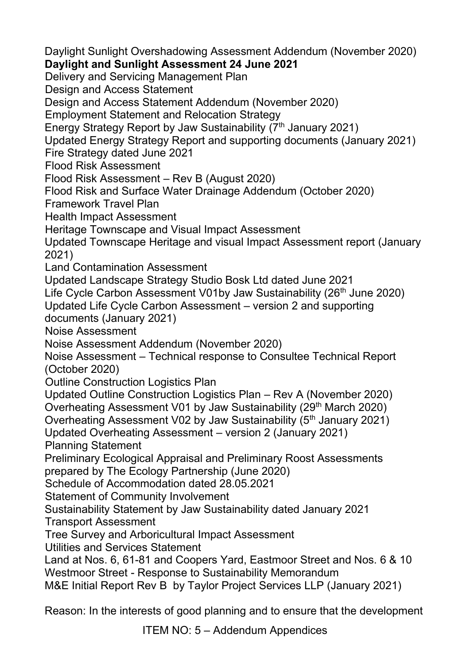Daylight Sunlight Overshadowing Assessment Addendum (November 2020)

#### **Daylight and Sunlight Assessment 24 June 2021**

Delivery and Servicing Management Plan

Design and Access Statement

Design and Access Statement Addendum (November 2020)

Employment Statement and Relocation Strategy

Energy Strategy Report by Jaw Sustainability (7<sup>th</sup> January 2021)

Updated Energy Strategy Report and supporting documents (January 2021)

Fire Strategy dated June 2021

Flood Risk Assessment

Flood Risk Assessment – Rev B (August 2020)

Flood Risk and Surface Water Drainage Addendum (October 2020)

Framework Travel Plan

Health Impact Assessment

Heritage Townscape and Visual Impact Assessment

Updated Townscape Heritage and visual Impact Assessment report (January 2021)

Land Contamination Assessment

Updated Landscape Strategy Studio Bosk Ltd dated June 2021

Life Cycle Carbon Assessment V01by Jaw Sustainability (26<sup>th</sup> June 2020)

Updated Life Cycle Carbon Assessment – version 2 and supporting documents (January 2021)

Noise Assessment

Noise Assessment Addendum (November 2020)

Noise Assessment – Technical response to Consultee Technical Report (October 2020)

Outline Construction Logistics Plan

Updated Outline Construction Logistics Plan – Rev A (November 2020)

Overheating Assessment V01 by Jaw Sustainability (29<sup>th</sup> March 2020)

Overheating Assessment V02 by Jaw Sustainability (5<sup>th</sup> January 2021)

Updated Overheating Assessment – version 2 (January 2021)

Planning Statement

Preliminary Ecological Appraisal and Preliminary Roost Assessments prepared by The Ecology Partnership (June 2020)

Schedule of Accommodation dated 28.05.2021

Statement of Community Involvement

Sustainability Statement by Jaw Sustainability dated January 2021

Transport Assessment

Tree Survey and Arboricultural Impact Assessment

Utilities and Services Statement

Land at Nos. 6, 61-81 and Coopers Yard, Eastmoor Street and Nos. 6 & 10 Westmoor Street - Response to Sustainability Memorandum

M&E Initial Report Rev B by Taylor Project Services LLP (January 2021)

Reason: In the interests of good planning and to ensure that the development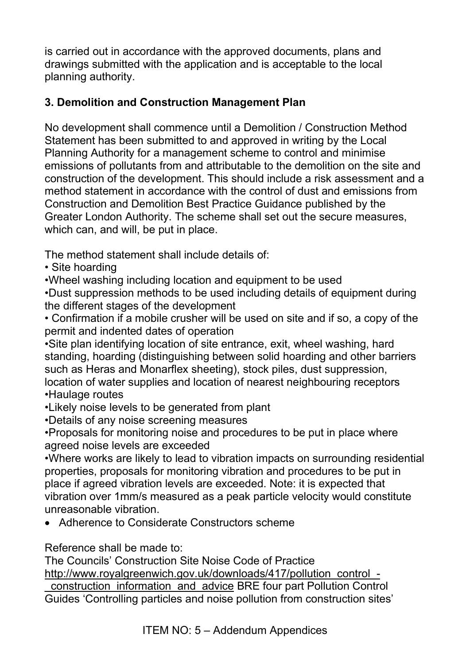is carried out in accordance with the approved documents, plans and drawings submitted with the application and is acceptable to the local planning authority.

### **3. Demolition and Construction Management Plan**

No development shall commence until a Demolition / Construction Method Statement has been submitted to and approved in writing by the Local Planning Authority for a management scheme to control and minimise emissions of pollutants from and attributable to the demolition on the site and construction of the development. This should include a risk assessment and a method statement in accordance with the control of dust and emissions from Construction and Demolition Best Practice Guidance published by the Greater London Authority. The scheme shall set out the secure measures, which can, and will, be put in place.

The method statement shall include details of:

• Site hoarding

•Wheel washing including location and equipment to be used

•Dust suppression methods to be used including details of equipment during the different stages of the development

• Confirmation if a mobile crusher will be used on site and if so, a copy of the permit and indented dates of operation

•Site plan identifying location of site entrance, exit, wheel washing, hard standing, hoarding (distinguishing between solid hoarding and other barriers such as Heras and Monarflex sheeting), stock piles, dust suppression, location of water supplies and location of nearest neighbouring receptors •Haulage routes

•Likely noise levels to be generated from plant

•Details of any noise screening measures

•Proposals for monitoring noise and procedures to be put in place where agreed noise levels are exceeded

•Where works are likely to lead to vibration impacts on surrounding residential properties, proposals for monitoring vibration and procedures to be put in place if agreed vibration levels are exceeded. Note: it is expected that vibration over 1mm/s measured as a peak particle velocity would constitute unreasonable vibration.

• Adherence to Considerate Constructors scheme

Reference shall be made to:

The Councils' Construction Site Noise Code of Practice

[http://www.royalgreenwich.gov.uk/downloads/417/pollution\\_control\\_-](http://www.royalgreenwich.gov.uk/downloads/417/pollution_control_-_construction_information_and_advice)

[\\_construction\\_information\\_and\\_advice](http://www.royalgreenwich.gov.uk/downloads/417/pollution_control_-_construction_information_and_advice) BRE four part Pollution Control Guides 'Controlling particles and noise pollution from construction sites'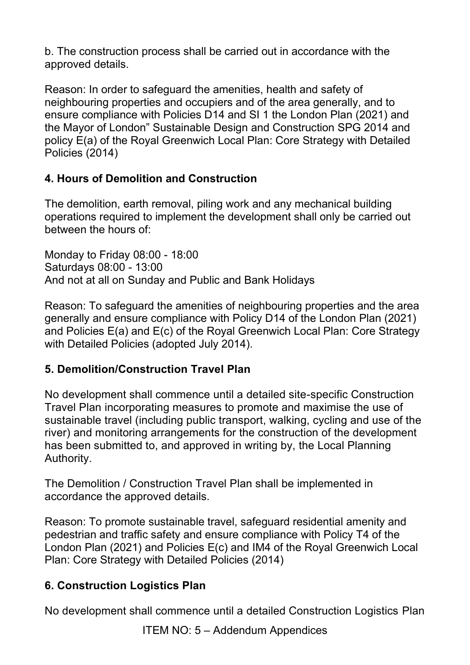b. The construction process shall be carried out in accordance with the approved details.

Reason: In order to safeguard the amenities, health and safety of neighbouring properties and occupiers and of the area generally, and to ensure compliance with Policies D14 and SI 1 the London Plan (2021) and the Mayor of London" Sustainable Design and Construction SPG 2014 and policy E(a) of the Royal Greenwich Local Plan: Core Strategy with Detailed Policies (2014)

## **4. Hours of Demolition and Construction**

The demolition, earth removal, piling work and any mechanical building operations required to implement the development shall only be carried out between the hours of:

Monday to Friday 08:00 - 18:00 Saturdays 08:00 - 13:00 And not at all on Sunday and Public and Bank Holidays

Reason: To safeguard the amenities of neighbouring properties and the area generally and ensure compliance with Policy D14 of the London Plan (2021) and Policies E(a) and E(c) of the Royal Greenwich Local Plan: Core Strategy with Detailed Policies (adopted July 2014).

### **5. Demolition/Construction Travel Plan**

No development shall commence until a detailed site-specific Construction Travel Plan incorporating measures to promote and maximise the use of sustainable travel (including public transport, walking, cycling and use of the river) and monitoring arrangements for the construction of the development has been submitted to, and approved in writing by, the Local Planning Authority.

The Demolition / Construction Travel Plan shall be implemented in accordance the approved details.

Reason: To promote sustainable travel, safeguard residential amenity and pedestrian and traffic safety and ensure compliance with Policy T4 of the London Plan (2021) and Policies E(c) and IM4 of the Royal Greenwich Local Plan: Core Strategy with Detailed Policies (2014)

### **6. Construction Logistics Plan**

No development shall commence until a detailed Construction Logistics Plan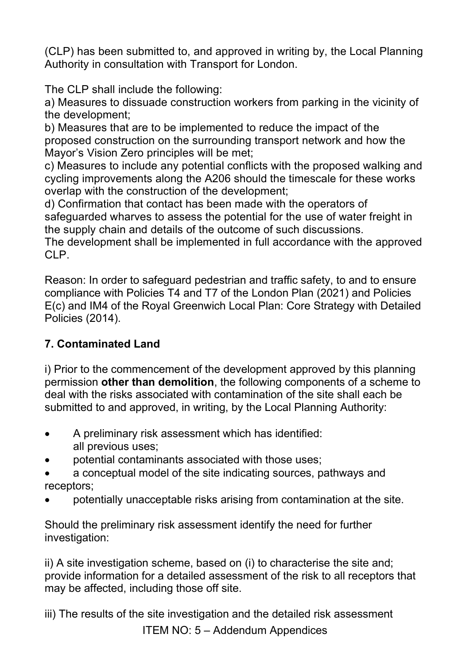(CLP) has been submitted to, and approved in writing by, the Local Planning Authority in consultation with Transport for London.

The CLP shall include the following:

a) Measures to dissuade construction workers from parking in the vicinity of the development;

b) Measures that are to be implemented to reduce the impact of the proposed construction on the surrounding transport network and how the Mayor's Vision Zero principles will be met;

c) Measures to include any potential conflicts with the proposed walking and cycling improvements along the A206 should the timescale for these works overlap with the construction of the development;

d) Confirmation that contact has been made with the operators of safeguarded wharves to assess the potential for the use of water freight in the supply chain and details of the outcome of such discussions.

The development shall be implemented in full accordance with the approved CLP.

Reason: In order to safeguard pedestrian and traffic safety, to and to ensure compliance with Policies T4 and T7 of the London Plan (2021) and Policies E(c) and IM4 of the Royal Greenwich Local Plan: Core Strategy with Detailed Policies (2014).

# **7. Contaminated Land**

i) Prior to the commencement of the development approved by this planning permission **other than demolition**, the following components of a scheme to deal with the risks associated with contamination of the site shall each be submitted to and approved, in writing, by the Local Planning Authority:

- A preliminary risk assessment which has identified: all previous uses;
- potential contaminants associated with those uses;
- a conceptual model of the site indicating sources, pathways and receptors;
- potentially unacceptable risks arising from contamination at the site.

Should the preliminary risk assessment identify the need for further investigation:

ii) A site investigation scheme, based on (i) to characterise the site and; provide information for a detailed assessment of the risk to all receptors that may be affected, including those off site.

ITEM NO: 5 – Addendum Appendices iii) The results of the site investigation and the detailed risk assessment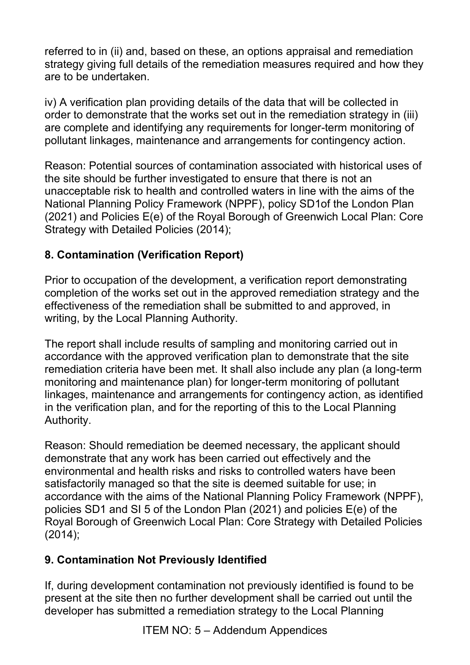referred to in (ii) and, based on these, an options appraisal and remediation strategy giving full details of the remediation measures required and how they are to be undertaken.

iv) A verification plan providing details of the data that will be collected in order to demonstrate that the works set out in the remediation strategy in (iii) are complete and identifying any requirements for longer-term monitoring of pollutant linkages, maintenance and arrangements for contingency action.

Reason: Potential sources of contamination associated with historical uses of the site should be further investigated to ensure that there is not an unacceptable risk to health and controlled waters in line with the aims of the National Planning Policy Framework (NPPF), policy SD1of the London Plan (2021) and Policies E(e) of the Royal Borough of Greenwich Local Plan: Core Strategy with Detailed Policies (2014);

## **8. Contamination (Verification Report)**

Prior to occupation of the development, a verification report demonstrating completion of the works set out in the approved remediation strategy and the effectiveness of the remediation shall be submitted to and approved, in writing, by the Local Planning Authority.

The report shall include results of sampling and monitoring carried out in accordance with the approved verification plan to demonstrate that the site remediation criteria have been met. It shall also include any plan (a long-term monitoring and maintenance plan) for longer-term monitoring of pollutant linkages, maintenance and arrangements for contingency action, as identified in the verification plan, and for the reporting of this to the Local Planning Authority.

Reason: Should remediation be deemed necessary, the applicant should demonstrate that any work has been carried out effectively and the environmental and health risks and risks to controlled waters have been satisfactorily managed so that the site is deemed suitable for use; in accordance with the aims of the National Planning Policy Framework (NPPF), policies SD1 and SI 5 of the London Plan (2021) and policies E(e) of the Royal Borough of Greenwich Local Plan: Core Strategy with Detailed Policies (2014);

### **9. Contamination Not Previously Identified**

If, during development contamination not previously identified is found to be present at the site then no further development shall be carried out until the developer has submitted a remediation strategy to the Local Planning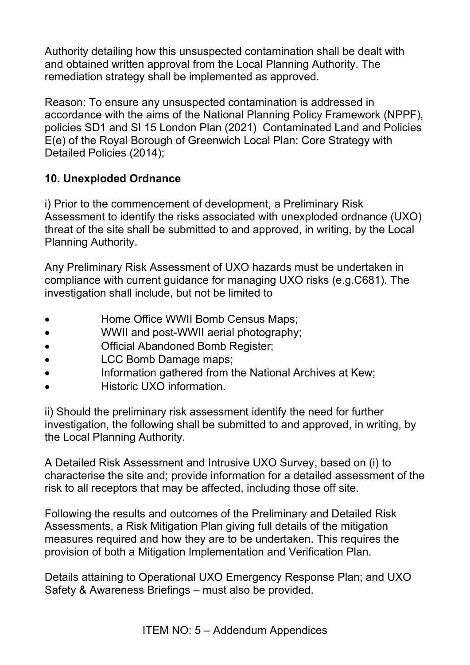Authority detailing how this unsuspected contamination shall be dealt with and obtained written approval from the Local Planning Authority. The remediation strategy shall be implemented as approved.

Reason: To ensure any unsuspected contamination is addressed in accordance with the aims of the National Planning Policy Framework (NPPF), policies SD1 and SI 15 London Plan (2021) Contaminated Land and Policies E(e) of the Royal Borough of Greenwich Local Plan: Core Strategy with Detailed Policies (2014);

## **10. Unexploded Ordnance**

i) Prior to the commencement of development, a Preliminary Risk Assessment to identify the risks associated with unexploded ordnance (UXO) threat of the site shall be submitted to and approved, in writing, by the Local Planning Authority.

Any Preliminary Risk Assessment of UXO hazards must be undertaken in compliance with current guidance for managing UXO risks (e.g.C681). The investigation shall include, but not be limited to

- Home Office WWII Bomb Census Maps;
- WWII and post-WWII aerial photography;
- Official Abandoned Bomb Register;
- **LCC Bomb Damage maps;**
- Information gathered from the National Archives at Kew;
- Historic UXO information.

ii) Should the preliminary risk assessment identify the need for further investigation, the following shall be submitted to and approved, in writing, by the Local Planning Authority.

A Detailed Risk Assessment and Intrusive UXO Survey, based on (i) to characterise the site and; provide information for a detailed assessment of the risk to all receptors that may be affected, including those off site.

Following the results and outcomes of the Preliminary and Detailed Risk Assessments, a Risk Mitigation Plan giving full details of the mitigation measures required and how they are to be undertaken. This requires the provision of both a Mitigation Implementation and Verification Plan.

Details attaining to Operational UXO Emergency Response Plan; and UXO Safety & Awareness Briefings – must also be provided.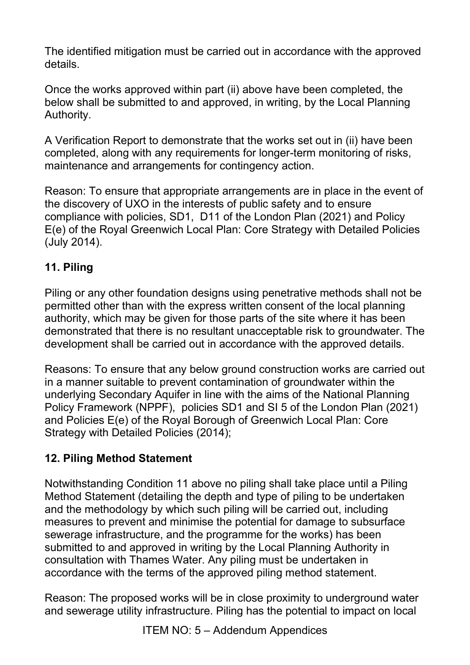The identified mitigation must be carried out in accordance with the approved details.

Once the works approved within part (ii) above have been completed, the below shall be submitted to and approved, in writing, by the Local Planning Authority.

A Verification Report to demonstrate that the works set out in (ii) have been completed, along with any requirements for longer-term monitoring of risks, maintenance and arrangements for contingency action.

Reason: To ensure that appropriate arrangements are in place in the event of the discovery of UXO in the interests of public safety and to ensure compliance with policies, SD1, D11 of the London Plan (2021) and Policy E(e) of the Royal Greenwich Local Plan: Core Strategy with Detailed Policies (July 2014).

# **11. Piling**

Piling or any other foundation designs using penetrative methods shall not be permitted other than with the express written consent of the local planning authority, which may be given for those parts of the site where it has been demonstrated that there is no resultant unacceptable risk to groundwater. The development shall be carried out in accordance with the approved details.

Reasons: To ensure that any below ground construction works are carried out in a manner suitable to prevent contamination of groundwater within the underlying Secondary Aquifer in line with the aims of the National Planning Policy Framework (NPPF), policies SD1 and SI 5 of the London Plan (2021) and Policies E(e) of the Royal Borough of Greenwich Local Plan: Core Strategy with Detailed Policies (2014);

# **12. Piling Method Statement**

Notwithstanding Condition 11 above no piling shall take place until a Piling Method Statement (detailing the depth and type of piling to be undertaken and the methodology by which such piling will be carried out, including measures to prevent and minimise the potential for damage to subsurface sewerage infrastructure, and the programme for the works) has been submitted to and approved in writing by the Local Planning Authority in consultation with Thames Water. Any piling must be undertaken in accordance with the terms of the approved piling method statement.

Reason: The proposed works will be in close proximity to underground water and sewerage utility infrastructure. Piling has the potential to impact on local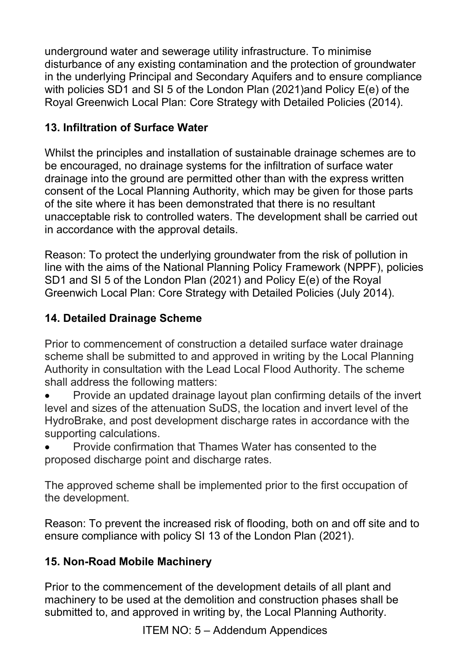underground water and sewerage utility infrastructure. To minimise disturbance of any existing contamination and the protection of groundwater in the underlying Principal and Secondary Aquifers and to ensure compliance with policies SD1 and SI 5 of the London Plan (2021)and Policy E(e) of the Royal Greenwich Local Plan: Core Strategy with Detailed Policies (2014).

# **13. Infiltration of Surface Water**

Whilst the principles and installation of sustainable drainage schemes are to be encouraged, no drainage systems for the infiltration of surface water drainage into the ground are permitted other than with the express written consent of the Local Planning Authority, which may be given for those parts of the site where it has been demonstrated that there is no resultant unacceptable risk to controlled waters. The development shall be carried out in accordance with the approval details.

Reason: To protect the underlying groundwater from the risk of pollution in line with the aims of the National Planning Policy Framework (NPPF), policies SD1 and SI 5 of the London Plan (2021) and Policy E(e) of the Royal Greenwich Local Plan: Core Strategy with Detailed Policies (July 2014).

# **14. Detailed Drainage Scheme**

Prior to commencement of construction a detailed surface water drainage scheme shall be submitted to and approved in writing by the Local Planning Authority in consultation with the Lead Local Flood Authority. The scheme shall address the following matters:

- Provide an updated drainage layout plan confirming details of the invert level and sizes of the attenuation SuDS, the location and invert level of the HydroBrake, and post development discharge rates in accordance with the supporting calculations.
- Provide confirmation that Thames Water has consented to the proposed discharge point and discharge rates.

The approved scheme shall be implemented prior to the first occupation of the development.

Reason: To prevent the increased risk of flooding, both on and off site and to ensure compliance with policy SI 13 of the London Plan (2021).

### **15. Non-Road Mobile Machinery**

Prior to the commencement of the development details of all plant and machinery to be used at the demolition and construction phases shall be submitted to, and approved in writing by, the Local Planning Authority.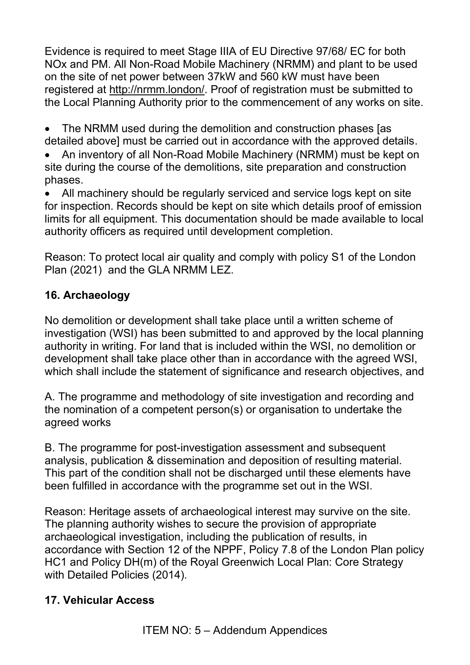Evidence is required to meet Stage IIIA of EU Directive 97/68/ EC for both NOx and PM. All Non-Road Mobile Machinery (NRMM) and plant to be used on the site of net power between 37kW and 560 kW must have been registered at [http://nrmm.london/.](http://nrmm.london/) Proof of registration must be submitted to the Local Planning Authority prior to the commencement of any works on site.

• The NRMM used during the demolition and construction phases [as detailed above] must be carried out in accordance with the approved details.

• An inventory of all Non-Road Mobile Machinery (NRMM) must be kept on site during the course of the demolitions, site preparation and construction phases.

• All machinery should be regularly serviced and service logs kept on site for inspection. Records should be kept on site which details proof of emission limits for all equipment. This documentation should be made available to local authority officers as required until development completion.

Reason: To protect local air quality and comply with policy S1 of the London Plan (2021) and the GLA NRMM LEZ.

### **16. Archaeology**

No demolition or development shall take place until a written scheme of investigation (WSI) has been submitted to and approved by the local planning authority in writing. For land that is included within the WSI, no demolition or development shall take place other than in accordance with the agreed WSI, which shall include the statement of significance and research objectives, and

A. The programme and methodology of site investigation and recording and the nomination of a competent person(s) or organisation to undertake the agreed works

B. The programme for post-investigation assessment and subsequent analysis, publication & dissemination and deposition of resulting material. This part of the condition shall not be discharged until these elements have been fulfilled in accordance with the programme set out in the WSI.

Reason: Heritage assets of archaeological interest may survive on the site. The planning authority wishes to secure the provision of appropriate archaeological investigation, including the publication of results, in accordance with Section 12 of the NPPF, Policy 7.8 of the London Plan policy HC1 and Policy DH(m) of the Royal Greenwich Local Plan: Core Strategy with Detailed Policies (2014).

### **17. Vehicular Access**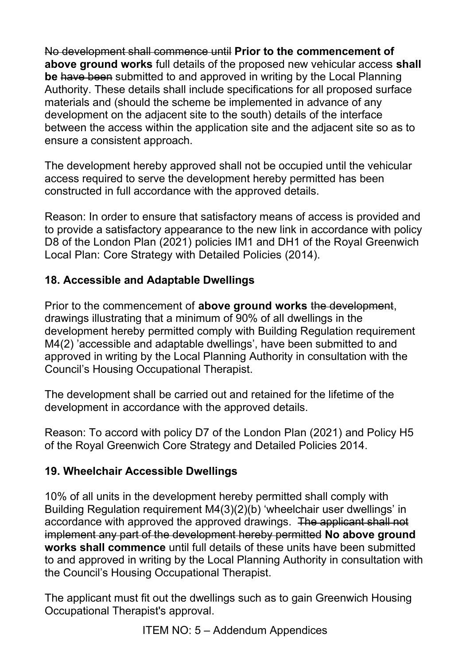No development shall commence until **Prior to the commencement of above ground works** full details of the proposed new vehicular access **shall be** have been submitted to and approved in writing by the Local Planning Authority. These details shall include specifications for all proposed surface materials and (should the scheme be implemented in advance of any development on the adjacent site to the south) details of the interface between the access within the application site and the adjacent site so as to ensure a consistent approach.

The development hereby approved shall not be occupied until the vehicular access required to serve the development hereby permitted has been constructed in full accordance with the approved details.

Reason: In order to ensure that satisfactory means of access is provided and to provide a satisfactory appearance to the new link in accordance with policy D8 of the London Plan (2021) policies IM1 and DH1 of the Royal Greenwich Local Plan: Core Strategy with Detailed Policies (2014).

### **18. Accessible and Adaptable Dwellings**

Prior to the commencement of **above ground works** the development, drawings illustrating that a minimum of 90% of all dwellings in the development hereby permitted comply with Building Regulation requirement M4(2) 'accessible and adaptable dwellings', have been submitted to and approved in writing by the Local Planning Authority in consultation with the Council's Housing Occupational Therapist.

The development shall be carried out and retained for the lifetime of the development in accordance with the approved details.

Reason: To accord with policy D7 of the London Plan (2021) and Policy H5 of the Royal Greenwich Core Strategy and Detailed Policies 2014.

### **19. Wheelchair Accessible Dwellings**

10% of all units in the development hereby permitted shall comply with Building Regulation requirement M4(3)(2)(b) 'wheelchair user dwellings' in accordance with approved the approved drawings. The applicant shall not implement any part of the development hereby permitted **No above ground works shall commence** until full details of these units have been submitted to and approved in writing by the Local Planning Authority in consultation with the Council's Housing Occupational Therapist.

The applicant must fit out the dwellings such as to gain Greenwich Housing Occupational Therapist's approval.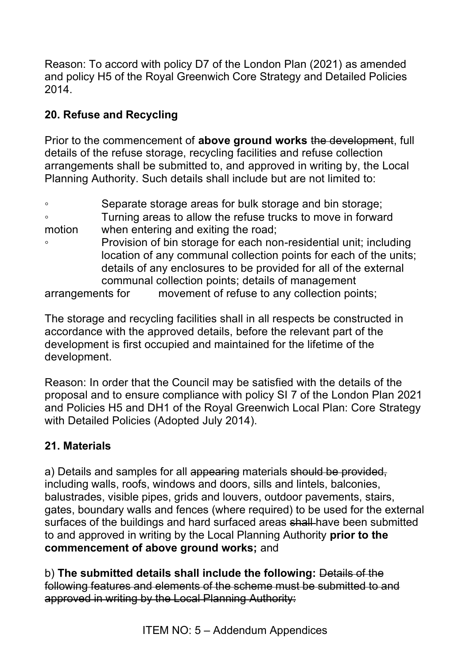Reason: To accord with policy D7 of the London Plan (2021) as amended and policy H5 of the Royal Greenwich Core Strategy and Detailed Policies 2014.

# **20. Refuse and Recycling**

Prior to the commencement of **above ground works** the development, full details of the refuse storage, recycling facilities and refuse collection arrangements shall be submitted to, and approved in writing by, the Local Planning Authority. Such details shall include but are not limited to:

◦ Separate storage areas for bulk storage and bin storage; ◦ Turning areas to allow the refuse trucks to move in forward motion when entering and exiting the road; ◦ Provision of bin storage for each non-residential unit; including location of any communal collection points for each of the units; details of any enclosures to be provided for all of the external communal collection points; details of management arrangements for movement of refuse to any collection points;

The storage and recycling facilities shall in all respects be constructed in accordance with the approved details, before the relevant part of the development is first occupied and maintained for the lifetime of the development.

Reason: In order that the Council may be satisfied with the details of the proposal and to ensure compliance with policy SI 7 of the London Plan 2021 and Policies H5 and DH1 of the Royal Greenwich Local Plan: Core Strategy with Detailed Policies (Adopted July 2014).

### **21. Materials**

a) Details and samples for all appearing materials should be provided, including walls, roofs, windows and doors, sills and lintels, balconies, balustrades, visible pipes, grids and louvers, outdoor pavements, stairs, gates, boundary walls and fences (where required) to be used for the external surfaces of the buildings and hard surfaced areas shall have been submitted to and approved in writing by the Local Planning Authority **prior to the commencement of above ground works;** and

b) **The submitted details shall include the following:** Details of the following features and elements of the scheme must be submitted to and approved in writing by the Local Planning Authority: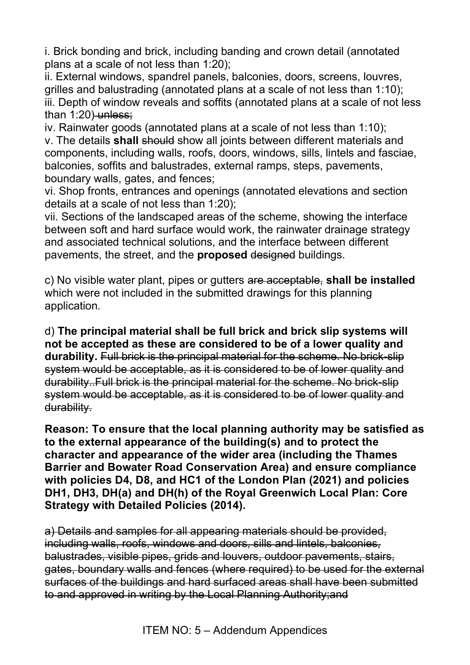i. Brick bonding and brick, including banding and crown detail (annotated plans at a scale of not less than 1:20);

ii. External windows, spandrel panels, balconies, doors, screens, louvres, grilles and balustrading (annotated plans at a scale of not less than 1:10); iii. Depth of window reveals and soffits (annotated plans at a scale of not less than  $1:20$ ) unless;

iv. Rainwater goods (annotated plans at a scale of not less than 1:10); v. The details **shall** should show all joints between different materials and components, including walls, roofs, doors, windows, sills, lintels and fasciae, balconies, soffits and balustrades, external ramps, steps, pavements, boundary walls, gates, and fences;

vi. Shop fronts, entrances and openings (annotated elevations and section details at a scale of not less than 1:20);

vii. Sections of the landscaped areas of the scheme, showing the interface between soft and hard surface would work, the rainwater drainage strategy and associated technical solutions, and the interface between different pavements, the street, and the **proposed** designed buildings.

c) No visible water plant, pipes or gutters are acceptable, **shall be installed** which were not included in the submitted drawings for this planning application.

d) **The principal material shall be full brick and brick slip systems will not be accepted as these are considered to be of a lower quality and durability.** Full brick is the principal material for the scheme. No brick-slip system would be acceptable, as it is considered to be of lower quality and durability..Full brick is the principal material for the scheme. No brick-slip system would be acceptable, as it is considered to be of lower quality and durability.

**Reason: To ensure that the local planning authority may be satisfied as to the external appearance of the building(s) and to protect the character and appearance of the wider area (including the Thames Barrier and Bowater Road Conservation Area) and ensure compliance with policies D4, D8, and HC1 of the London Plan (2021) and policies DH1, DH3, DH(a) and DH(h) of the Royal Greenwich Local Plan: Core Strategy with Detailed Policies (2014).**

a) Details and samples for all appearing materials should be provided, including walls, roofs, windows and doors, sills and lintels, balconies, balustrades, visible pipes, grids and louvers, outdoor pavements, stairs, gates, boundary walls and fences (where required) to be used for the external surfaces of the buildings and hard surfaced areas shall have been submitted to and approved in writing by the Local Planning Authority;and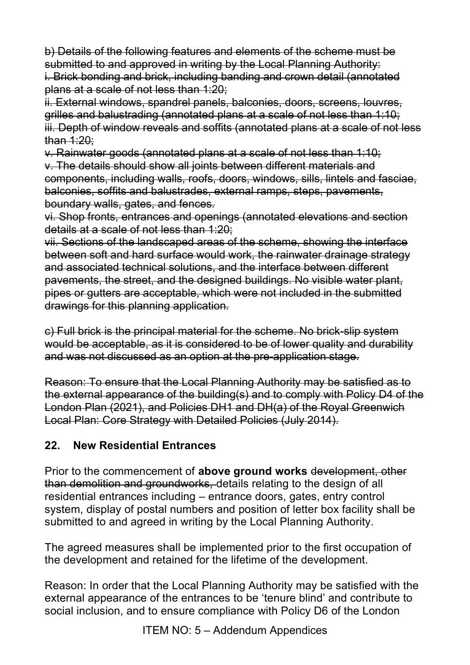b) Details of the following features and elements of the scheme must be submitted to and approved in writing by the Local Planning Authority: i. Brick bonding and brick, including banding and crown detail (annotated plans at a scale of not less than 1:20;

ii. External windows, spandrel panels, balconies, doors, screens, louvres, grilles and balustrading (annotated plans at a scale of not less than 1:10; iii. Depth of window reveals and soffits (annotated plans at a scale of not less than 1:20;

v. Rainwater goods (annotated plans at a scale of not less than 1:10; v. The details should show all joints between different materials and components, including walls, roofs, doors, windows, sills, lintels and fasciae, balconies, soffits and balustrades, external ramps, steps, pavements, boundary walls, gates, and fences.

vi. Shop fronts, entrances and openings (annotated elevations and section details at a scale of not less than 1:20;

vii. Sections of the landscaped areas of the scheme, showing the interface between soft and hard surface would work, the rainwater drainage strategy and associated technical solutions, and the interface between different pavements, the street, and the designed buildings. No visible water plant, pipes or gutters are acceptable, which were not included in the submitted drawings for this planning application.

c) Full brick is the principal material for the scheme. No brick-slip system would be acceptable, as it is considered to be of lower quality and durability and was not discussed as an option at the pre-application stage.

Reason: To ensure that the Local Planning Authority may be satisfied as to the external appearance of the building(s) and to comply with Policy D4 of the London Plan (2021), and Policies DH1 and DH(a) of the Royal Greenwich Local Plan: Core Strategy with Detailed Policies (July 2014).

### **22. New Residential Entrances**

Prior to the commencement of **above ground works** development, other than demolition and groundworks, details relating to the design of all residential entrances including – entrance doors, gates, entry control system, display of postal numbers and position of letter box facility shall be submitted to and agreed in writing by the Local Planning Authority.

The agreed measures shall be implemented prior to the first occupation of the development and retained for the lifetime of the development.

Reason: In order that the Local Planning Authority may be satisfied with the external appearance of the entrances to be 'tenure blind' and contribute to social inclusion, and to ensure compliance with Policy D6 of the London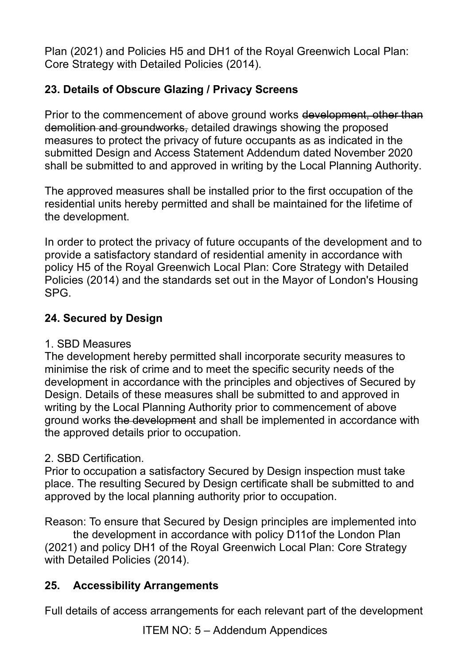Plan (2021) and Policies H5 and DH1 of the Royal Greenwich Local Plan: Core Strategy with Detailed Policies (2014).

## **23. Details of Obscure Glazing / Privacy Screens**

Prior to the commencement of above ground works development, other than demolition and groundworks, detailed drawings showing the proposed measures to protect the privacy of future occupants as as indicated in the submitted Design and Access Statement Addendum dated November 2020 shall be submitted to and approved in writing by the Local Planning Authority.

The approved measures shall be installed prior to the first occupation of the residential units hereby permitted and shall be maintained for the lifetime of the development.

In order to protect the privacy of future occupants of the development and to provide a satisfactory standard of residential amenity in accordance with policy H5 of the Royal Greenwich Local Plan: Core Strategy with Detailed Policies (2014) and the standards set out in the Mayor of London's Housing SPG.

### **24. Secured by Design**

### 1. SBD Measures

The development hereby permitted shall incorporate security measures to minimise the risk of crime and to meet the specific security needs of the development in accordance with the principles and objectives of Secured by Design. Details of these measures shall be submitted to and approved in writing by the Local Planning Authority prior to commencement of above ground works the development and shall be implemented in accordance with the approved details prior to occupation.

### 2. SBD Certification.

Prior to occupation a satisfactory Secured by Design inspection must take place. The resulting Secured by Design certificate shall be submitted to and approved by the local planning authority prior to occupation.

Reason: To ensure that Secured by Design principles are implemented into

 the development in accordance with policy D11of the London Plan (2021) and policy DH1 of the Royal Greenwich Local Plan: Core Strategy with Detailed Policies (2014).

### **25. Accessibility Arrangements**

Full details of access arrangements for each relevant part of the development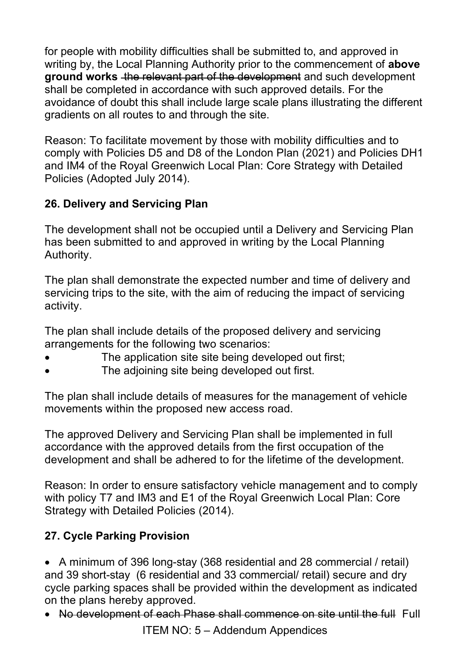for people with mobility difficulties shall be submitted to, and approved in writing by, the Local Planning Authority prior to the commencement of **above ground works** the relevant part of the development and such development shall be completed in accordance with such approved details. For the avoidance of doubt this shall include large scale plans illustrating the different gradients on all routes to and through the site.

Reason: To facilitate movement by those with mobility difficulties and to comply with Policies D5 and D8 of the London Plan (2021) and Policies DH1 and IM4 of the Royal Greenwich Local Plan: Core Strategy with Detailed Policies (Adopted July 2014).

### **26. Delivery and Servicing Plan**

The development shall not be occupied until a Delivery and Servicing Plan has been submitted to and approved in writing by the Local Planning Authority.

The plan shall demonstrate the expected number and time of delivery and servicing trips to the site, with the aim of reducing the impact of servicing activity.

The plan shall include details of the proposed delivery and servicing arrangements for the following two scenarios:

- The application site site being developed out first;
- The adjoining site being developed out first.

The plan shall include details of measures for the management of vehicle movements within the proposed new access road.

The approved Delivery and Servicing Plan shall be implemented in full accordance with the approved details from the first occupation of the development and shall be adhered to for the lifetime of the development.

Reason: In order to ensure satisfactory vehicle management and to comply with policy T7 and IM3 and E1 of the Royal Greenwich Local Plan: Core Strategy with Detailed Policies (2014).

# **27. Cycle Parking Provision**

• A minimum of 396 long-stay (368 residential and 28 commercial / retail) and 39 short-stay (6 residential and 33 commercial/ retail) secure and dry cycle parking spaces shall be provided within the development as indicated on the plans hereby approved.

• No development of each Phase shall commence on site until the full Full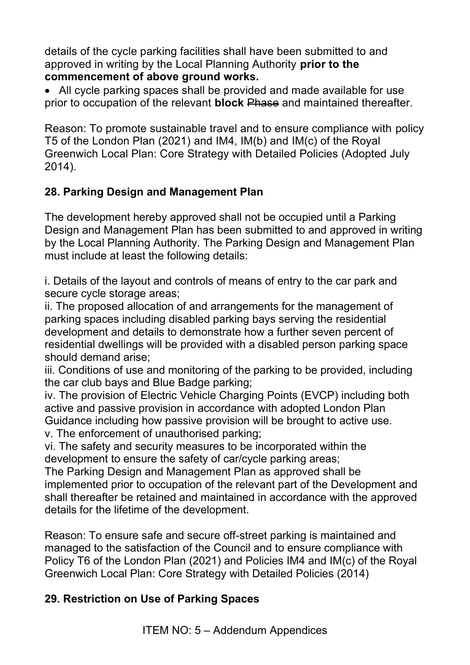details of the cycle parking facilities shall have been submitted to and approved in writing by the Local Planning Authority **prior to the commencement of above ground works.**

• All cycle parking spaces shall be provided and made available for use prior to occupation of the relevant **block** Phase and maintained thereafter.

Reason: To promote sustainable travel and to ensure compliance with policy T5 of the London Plan (2021) and IM4, IM(b) and IM(c) of the Royal Greenwich Local Plan: Core Strategy with Detailed Policies (Adopted July 2014).

## **28. Parking Design and Management Plan**

The development hereby approved shall not be occupied until a Parking Design and Management Plan has been submitted to and approved in writing by the Local Planning Authority. The Parking Design and Management Plan must include at least the following details:

i. Details of the layout and controls of means of entry to the car park and secure cycle storage areas:

ii. The proposed allocation of and arrangements for the management of parking spaces including disabled parking bays serving the residential development and details to demonstrate how a further seven percent of residential dwellings will be provided with a disabled person parking space should demand arise;

iii. Conditions of use and monitoring of the parking to be provided, including the car club bays and Blue Badge parking;

iv. The provision of Electric Vehicle Charging Points (EVCP) including both active and passive provision in accordance with adopted London Plan Guidance including how passive provision will be brought to active use. v. The enforcement of unauthorised parking;

vi. The safety and security measures to be incorporated within the development to ensure the safety of car/cycle parking areas;

The Parking Design and Management Plan as approved shall be implemented prior to occupation of the relevant part of the Development and shall thereafter be retained and maintained in accordance with the approved details for the lifetime of the development.

Reason: To ensure safe and secure off-street parking is maintained and managed to the satisfaction of the Council and to ensure compliance with Policy T6 of the London Plan (2021) and Policies IM4 and IM(c) of the Royal Greenwich Local Plan: Core Strategy with Detailed Policies (2014)

### **29. Restriction on Use of Parking Spaces**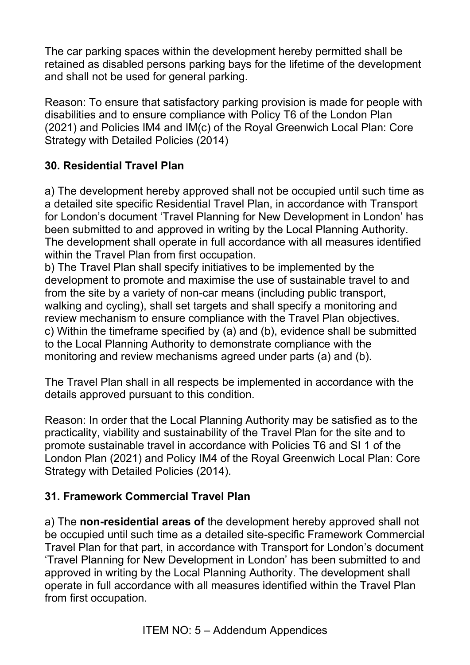The car parking spaces within the development hereby permitted shall be retained as disabled persons parking bays for the lifetime of the development and shall not be used for general parking.

Reason: To ensure that satisfactory parking provision is made for people with disabilities and to ensure compliance with Policy T6 of the London Plan (2021) and Policies IM4 and IM(c) of the Royal Greenwich Local Plan: Core Strategy with Detailed Policies (2014)

### **30. Residential Travel Plan**

a) The development hereby approved shall not be occupied until such time as a detailed site specific Residential Travel Plan, in accordance with Transport for London's document 'Travel Planning for New Development in London' has been submitted to and approved in writing by the Local Planning Authority. The development shall operate in full accordance with all measures identified within the Travel Plan from first occupation.

b) The Travel Plan shall specify initiatives to be implemented by the development to promote and maximise the use of sustainable travel to and from the site by a variety of non-car means (including public transport, walking and cycling), shall set targets and shall specify a monitoring and review mechanism to ensure compliance with the Travel Plan objectives. c) Within the timeframe specified by (a) and (b), evidence shall be submitted to the Local Planning Authority to demonstrate compliance with the monitoring and review mechanisms agreed under parts (a) and (b).

The Travel Plan shall in all respects be implemented in accordance with the details approved pursuant to this condition.

Reason: In order that the Local Planning Authority may be satisfied as to the practicality, viability and sustainability of the Travel Plan for the site and to promote sustainable travel in accordance with Policies T6 and SI 1 of the London Plan (2021) and Policy IM4 of the Royal Greenwich Local Plan: Core Strategy with Detailed Policies (2014).

### **31. Framework Commercial Travel Plan**

a) The **non-residential areas of** the development hereby approved shall not be occupied until such time as a detailed site-specific Framework Commercial Travel Plan for that part, in accordance with Transport for London's document 'Travel Planning for New Development in London' has been submitted to and approved in writing by the Local Planning Authority. The development shall operate in full accordance with all measures identified within the Travel Plan from first occupation.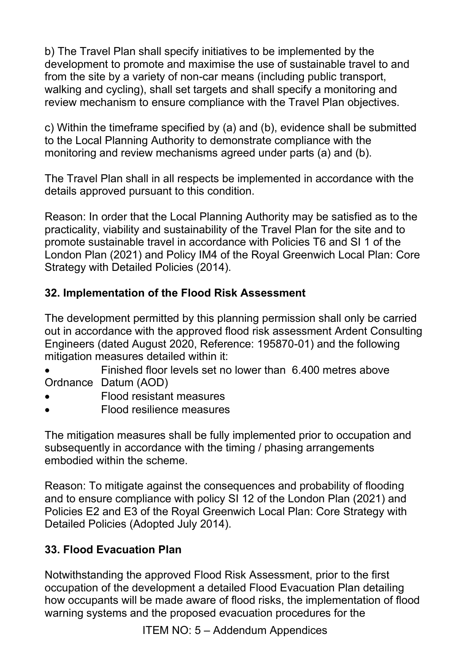b) The Travel Plan shall specify initiatives to be implemented by the development to promote and maximise the use of sustainable travel to and from the site by a variety of non-car means (including public transport, walking and cycling), shall set targets and shall specify a monitoring and review mechanism to ensure compliance with the Travel Plan objectives.

c) Within the timeframe specified by (a) and (b), evidence shall be submitted to the Local Planning Authority to demonstrate compliance with the monitoring and review mechanisms agreed under parts (a) and (b).

The Travel Plan shall in all respects be implemented in accordance with the details approved pursuant to this condition.

Reason: In order that the Local Planning Authority may be satisfied as to the practicality, viability and sustainability of the Travel Plan for the site and to promote sustainable travel in accordance with Policies T6 and SI 1 of the London Plan (2021) and Policy IM4 of the Royal Greenwich Local Plan: Core Strategy with Detailed Policies (2014).

## **32. Implementation of the Flood Risk Assessment**

The development permitted by this planning permission shall only be carried out in accordance with the approved flood risk assessment Ardent Consulting Engineers (dated August 2020, Reference: 195870-01) and the following mitigation measures detailed within it:

• Finished floor levels set no lower than 6.400 metres above Ordnance Datum (AOD)

- Flood resistant measures
- Flood resilience measures

The mitigation measures shall be fully implemented prior to occupation and subsequently in accordance with the timing / phasing arrangements embodied within the scheme.

Reason: To mitigate against the consequences and probability of flooding and to ensure compliance with policy SI 12 of the London Plan (2021) and Policies E2 and E3 of the Royal Greenwich Local Plan: Core Strategy with Detailed Policies (Adopted July 2014).

# **33. Flood Evacuation Plan**

Notwithstanding the approved Flood Risk Assessment, prior to the first occupation of the development a detailed Flood Evacuation Plan detailing how occupants will be made aware of flood risks, the implementation of flood warning systems and the proposed evacuation procedures for the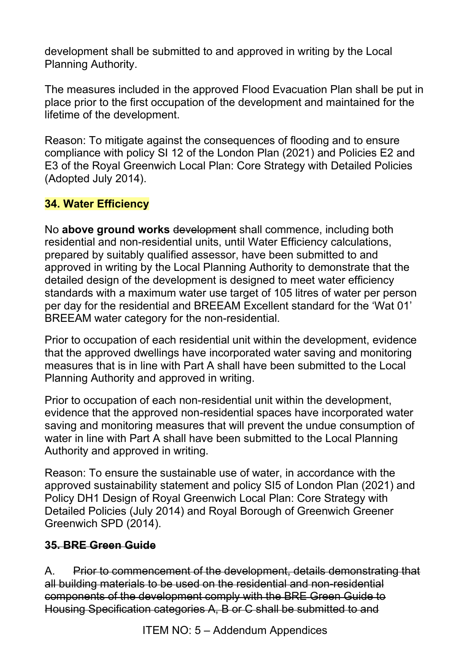development shall be submitted to and approved in writing by the Local Planning Authority.

The measures included in the approved Flood Evacuation Plan shall be put in place prior to the first occupation of the development and maintained for the lifetime of the development.

Reason: To mitigate against the consequences of flooding and to ensure compliance with policy SI 12 of the London Plan (2021) and Policies E2 and E3 of the Royal Greenwich Local Plan: Core Strategy with Detailed Policies (Adopted July 2014).

### **34. Water Efficiency**

No **above ground works** development shall commence, including both residential and non-residential units, until Water Efficiency calculations, prepared by suitably qualified assessor, have been submitted to and approved in writing by the Local Planning Authority to demonstrate that the detailed design of the development is designed to meet water efficiency standards with a maximum water use target of 105 litres of water per person per day for the residential and BREEAM Excellent standard for the 'Wat 01' BREEAM water category for the non-residential.

Prior to occupation of each residential unit within the development, evidence that the approved dwellings have incorporated water saving and monitoring measures that is in line with Part A shall have been submitted to the Local Planning Authority and approved in writing.

Prior to occupation of each non-residential unit within the development, evidence that the approved non-residential spaces have incorporated water saving and monitoring measures that will prevent the undue consumption of water in line with Part A shall have been submitted to the Local Planning Authority and approved in writing.

Reason: To ensure the sustainable use of water, in accordance with the approved sustainability statement and policy SI5 of London Plan (2021) and Policy DH1 Design of Royal Greenwich Local Plan: Core Strategy with Detailed Policies (July 2014) and Royal Borough of Greenwich Greener Greenwich SPD (2014).

### **35. BRE Green Guide**

A. Prior to commencement of the development, details demonstrating that all building materials to be used on the residential and non-residential components of the development comply with the BRE Green Guide to Housing Specification categories A, B or C shall be submitted to and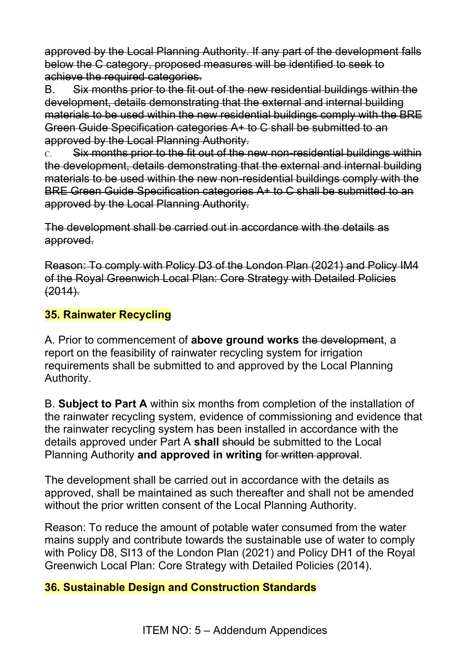approved by the Local Planning Authority. If any part of the development falls below the C category, proposed measures will be identified to seek to achieve the required categories.

B. Six months prior to the fit out of the new residential buildings within the development, details demonstrating that the external and internal building materials to be used within the new residential buildings comply with the BRE Green Guide Specification categories A+ to C shall be submitted to an approved by the Local Planning Authority.

C. Six months prior to the fit out of the new non-residential buildings within the development, details demonstrating that the external and internal building materials to be used within the new non-residential buildings comply with the BRE Green Guide Specification categories A+ to C shall be submitted to an approved by the Local Planning Authority.

The development shall be carried out in accordance with the details as approved.

Reason: To comply with Policy D3 of the London Plan (2021) and Policy IM4 of the Royal Greenwich Local Plan: Core Strategy with Detailed Policies (2014).

#### **35. Rainwater Recycling**

A. Prior to commencement of **above ground works** the development, a report on the feasibility of rainwater recycling system for irrigation requirements shall be submitted to and approved by the Local Planning Authority.

B. **Subject to Part A** within six months from completion of the installation of the rainwater recycling system, evidence of commissioning and evidence that the rainwater recycling system has been installed in accordance with the details approved under Part A **shall** should be submitted to the Local Planning Authority **and approved in writing** for written approval.

The development shall be carried out in accordance with the details as approved, shall be maintained as such thereafter and shall not be amended without the prior written consent of the Local Planning Authority.

Reason: To reduce the amount of potable water consumed from the water mains supply and contribute towards the sustainable use of water to comply with Policy D8, SI13 of the London Plan (2021) and Policy DH1 of the Royal Greenwich Local Plan: Core Strategy with Detailed Policies (2014).

#### **36. Sustainable Design and Construction Standards**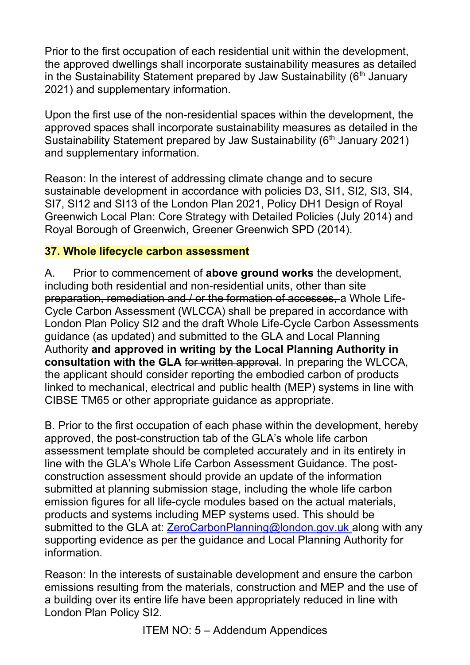Prior to the first occupation of each residential unit within the development, the approved dwellings shall incorporate sustainability measures as detailed in the Sustainability Statement prepared by Jaw Sustainability  $(6<sup>th</sup>$  January 2021) and supplementary information.

Upon the first use of the non-residential spaces within the development, the approved spaces shall incorporate sustainability measures as detailed in the Sustainability Statement prepared by Jaw Sustainability (6<sup>th</sup> January 2021) and supplementary information.

Reason: In the interest of addressing climate change and to secure sustainable development in accordance with policies D3, SI1, SI2, SI3, SI4, SI7, SI12 and SI13 of the London Plan 2021, Policy DH1 Design of Royal Greenwich Local Plan: Core Strategy with Detailed Policies (July 2014) and Royal Borough of Greenwich, Greener Greenwich SPD (2014).

### **37. Whole lifecycle carbon assessment**

A. Prior to commencement of **above ground works** the development, including both residential and non-residential units, other than site preparation, remediation and / or the formation of accesses, a Whole Life-Cycle Carbon Assessment (WLCCA) shall be prepared in accordance with London Plan Policy SI2 and the draft Whole Life-Cycle Carbon Assessments guidance (as updated) and submitted to the GLA and Local Planning Authority **and approved in writing by the Local Planning Authority in consultation with the GLA** for written approval. In preparing the WLCCA, the applicant should consider reporting the embodied carbon of products linked to mechanical, electrical and public health (MEP) systems in line with CIBSE TM65 or other appropriate guidance as appropriate.

B. Prior to the first occupation of each phase within the development, hereby approved, the post-construction tab of the GLA's whole life carbon assessment template should be completed accurately and in its entirety in line with the GLA's Whole Life Carbon Assessment Guidance. The postconstruction assessment should provide an update of the information submitted at planning submission stage, including the whole life carbon emission figures for all life-cycle modules based on the actual materials, products and systems including MEP systems used. This should be submitted to the GLA at: **ZeroCarbonPlanning@london.gov.uk** along with any supporting evidence as per the guidance and Local Planning Authority for information.

Reason: In the interests of sustainable development and ensure the carbon emissions resulting from the materials, construction and MEP and the use of a building over its entire life have been appropriately reduced in line with London Plan Policy SI2.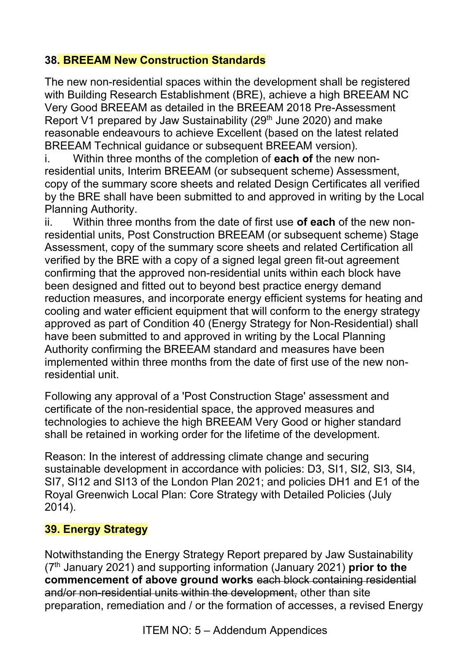#### **38. BREEAM New Construction Standards**

The new non-residential spaces within the development shall be registered with Building Research Establishment (BRE), achieve a high BREEAM NC Very Good BREEAM as detailed in the BREEAM 2018 Pre-Assessment Report V1 prepared by Jaw Sustainability (29<sup>th</sup> June 2020) and make reasonable endeavours to achieve Excellent (based on the latest related BREEAM Technical guidance or subsequent BREEAM version).

i. Within three months of the completion of **each of** the new nonresidential units, Interim BREEAM (or subsequent scheme) Assessment, copy of the summary score sheets and related Design Certificates all verified by the BRE shall have been submitted to and approved in writing by the Local Planning Authority.

ii. Within three months from the date of first use **of each** of the new nonresidential units, Post Construction BREEAM (or subsequent scheme) Stage Assessment, copy of the summary score sheets and related Certification all verified by the BRE with a copy of a signed legal green fit-out agreement confirming that the approved non-residential units within each block have been designed and fitted out to beyond best practice energy demand reduction measures, and incorporate energy efficient systems for heating and cooling and water efficient equipment that will conform to the energy strategy approved as part of Condition 40 (Energy Strategy for Non-Residential) shall have been submitted to and approved in writing by the Local Planning Authority confirming the BREEAM standard and measures have been implemented within three months from the date of first use of the new nonresidential unit.

Following any approval of a 'Post Construction Stage' assessment and certificate of the non-residential space, the approved measures and technologies to achieve the high BREEAM Very Good or higher standard shall be retained in working order for the lifetime of the development.

Reason: In the interest of addressing climate change and securing sustainable development in accordance with policies: D3, SI1, SI2, SI3, SI4, SI7, SI12 and SI13 of the London Plan 2021; and policies DH1 and E1 of the Royal Greenwich Local Plan: Core Strategy with Detailed Policies (July 2014).

#### **39. Energy Strategy**

Notwithstanding the Energy Strategy Report prepared by Jaw Sustainability (7th January 2021) and supporting information (January 2021) **prior to the commencement of above ground works** each block containing residential and/or non-residential units within the development, other than site preparation, remediation and / or the formation of accesses, a revised Energy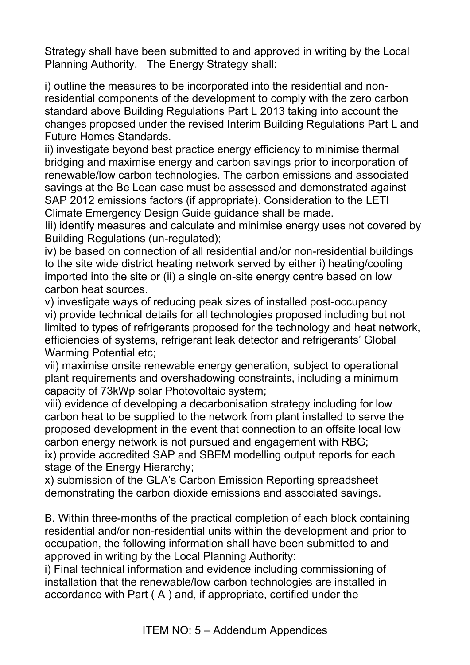Strategy shall have been submitted to and approved in writing by the Local Planning Authority. The Energy Strategy shall:

i) outline the measures to be incorporated into the residential and nonresidential components of the development to comply with the zero carbon standard above Building Regulations Part L 2013 taking into account the changes proposed under the revised Interim Building Regulations Part L and Future Homes Standards.

ii) investigate beyond best practice energy efficiency to minimise thermal bridging and maximise energy and carbon savings prior to incorporation of renewable/low carbon technologies. The carbon emissions and associated savings at the Be Lean case must be assessed and demonstrated against SAP 2012 emissions factors (if appropriate). Consideration to the LETI Climate Emergency Design Guide guidance shall be made.

Iii) identify measures and calculate and minimise energy uses not covered by Building Regulations (un-regulated);

iv) be based on connection of all residential and/or non-residential buildings to the site wide district heating network served by either i) heating/cooling imported into the site or (ii) a single on-site energy centre based on low carbon heat sources.

v) investigate ways of reducing peak sizes of installed post-occupancy vi) provide technical details for all technologies proposed including but not limited to types of refrigerants proposed for the technology and heat network, efficiencies of systems, refrigerant leak detector and refrigerants' Global Warming Potential etc;

vii) maximise onsite renewable energy generation, subject to operational plant requirements and overshadowing constraints, including a minimum capacity of 73kWp solar Photovoltaic system;

viii) evidence of developing a decarbonisation strategy including for low carbon heat to be supplied to the network from plant installed to serve the proposed development in the event that connection to an offsite local low carbon energy network is not pursued and engagement with RBG; ix) provide accredited SAP and SBEM modelling output reports for each stage of the Energy Hierarchy;

x) submission of the GLA's Carbon Emission Reporting spreadsheet demonstrating the carbon dioxide emissions and associated savings.

B. Within three-months of the practical completion of each block containing residential and/or non-residential units within the development and prior to occupation, the following information shall have been submitted to and approved in writing by the Local Planning Authority:

i) Final technical information and evidence including commissioning of installation that the renewable/low carbon technologies are installed in accordance with Part ( A ) and, if appropriate, certified under the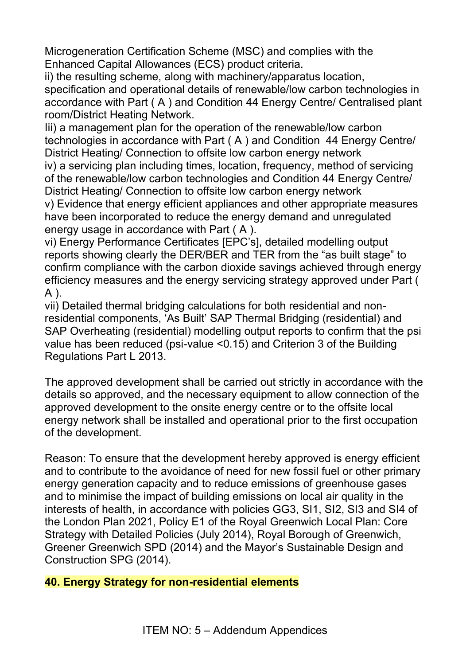Microgeneration Certification Scheme (MSC) and complies with the Enhanced Capital Allowances (ECS) product criteria.

ii) the resulting scheme, along with machinery/apparatus location, specification and operational details of renewable/low carbon technologies in accordance with Part ( A ) and Condition 44 Energy Centre/ Centralised plant room/District Heating Network.

Iii) a management plan for the operation of the renewable/low carbon technologies in accordance with Part ( A ) and Condition 44 Energy Centre/ District Heating/ Connection to offsite low carbon energy network

iv) a servicing plan including times, location, frequency, method of servicing of the renewable/low carbon technologies and Condition 44 Energy Centre/ District Heating/ Connection to offsite low carbon energy network

v) Evidence that energy efficient appliances and other appropriate measures have been incorporated to reduce the energy demand and unregulated energy usage in accordance with Part ( A ).

vi) Energy Performance Certificates [EPC's], detailed modelling output reports showing clearly the DER/BER and TER from the "as built stage" to confirm compliance with the carbon dioxide savings achieved through energy efficiency measures and the energy servicing strategy approved under Part ( A ).

vii) Detailed thermal bridging calculations for both residential and nonresidential components, 'As Built' SAP Thermal Bridging (residential) and SAP Overheating (residential) modelling output reports to confirm that the psi value has been reduced (psi-value <0.15) and Criterion 3 of the Building Regulations Part L 2013.

The approved development shall be carried out strictly in accordance with the details so approved, and the necessary equipment to allow connection of the approved development to the onsite energy centre or to the offsite local energy network shall be installed and operational prior to the first occupation of the development.

Reason: To ensure that the development hereby approved is energy efficient and to contribute to the avoidance of need for new fossil fuel or other primary energy generation capacity and to reduce emissions of greenhouse gases and to minimise the impact of building emissions on local air quality in the interests of health, in accordance with policies GG3, SI1, SI2, SI3 and SI4 of the London Plan 2021, Policy E1 of the Royal Greenwich Local Plan: Core Strategy with Detailed Policies (July 2014), Royal Borough of Greenwich, Greener Greenwich SPD (2014) and the Mayor's Sustainable Design and Construction SPG (2014).

#### **40. Energy Strategy for non-residential elements**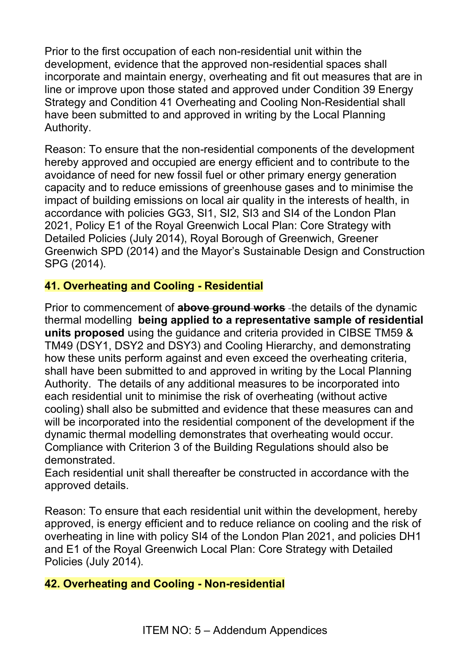Prior to the first occupation of each non-residential unit within the development, evidence that the approved non-residential spaces shall incorporate and maintain energy, overheating and fit out measures that are in line or improve upon those stated and approved under Condition 39 Energy Strategy and Condition 41 Overheating and Cooling Non-Residential shall have been submitted to and approved in writing by the Local Planning Authority.

Reason: To ensure that the non-residential components of the development hereby approved and occupied are energy efficient and to contribute to the avoidance of need for new fossil fuel or other primary energy generation capacity and to reduce emissions of greenhouse gases and to minimise the impact of building emissions on local air quality in the interests of health, in accordance with policies GG3, SI1, SI2, SI3 and SI4 of the London Plan 2021, Policy E1 of the Royal Greenwich Local Plan: Core Strategy with Detailed Policies (July 2014), Royal Borough of Greenwich, Greener Greenwich SPD (2014) and the Mayor's Sustainable Design and Construction SPG (2014).

### **41. Overheating and Cooling - Residential**

Prior to commencement of **above ground works** the details of the dynamic thermal modelling **being applied to a representative sample of residential units proposed** using the guidance and criteria provided in CIBSE TM59 & TM49 (DSY1, DSY2 and DSY3) and Cooling Hierarchy, and demonstrating how these units perform against and even exceed the overheating criteria, shall have been submitted to and approved in writing by the Local Planning Authority. The details of any additional measures to be incorporated into each residential unit to minimise the risk of overheating (without active cooling) shall also be submitted and evidence that these measures can and will be incorporated into the residential component of the development if the dynamic thermal modelling demonstrates that overheating would occur. Compliance with Criterion 3 of the Building Regulations should also be demonstrated.

Each residential unit shall thereafter be constructed in accordance with the approved details.

Reason: To ensure that each residential unit within the development, hereby approved, is energy efficient and to reduce reliance on cooling and the risk of overheating in line with policy SI4 of the London Plan 2021, and policies DH1 and E1 of the Royal Greenwich Local Plan: Core Strategy with Detailed Policies (July 2014).

### **42. Overheating and Cooling - Non-residential**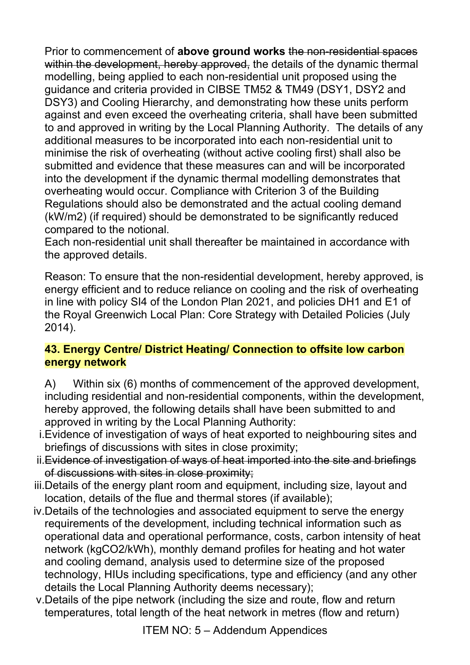Prior to commencement of **above ground works** the non-residential spaces within the development, hereby approved, the details of the dynamic thermal modelling, being applied to each non-residential unit proposed using the guidance and criteria provided in CIBSE TM52 & TM49 (DSY1, DSY2 and DSY3) and Cooling Hierarchy, and demonstrating how these units perform against and even exceed the overheating criteria, shall have been submitted to and approved in writing by the Local Planning Authority. The details of any additional measures to be incorporated into each non-residential unit to minimise the risk of overheating (without active cooling first) shall also be submitted and evidence that these measures can and will be incorporated into the development if the dynamic thermal modelling demonstrates that overheating would occur. Compliance with Criterion 3 of the Building Regulations should also be demonstrated and the actual cooling demand (kW/m2) (if required) should be demonstrated to be significantly reduced compared to the notional.

Each non-residential unit shall thereafter be maintained in accordance with the approved details.

Reason: To ensure that the non-residential development, hereby approved, is energy efficient and to reduce reliance on cooling and the risk of overheating in line with policy SI4 of the London Plan 2021, and policies DH1 and E1 of the Royal Greenwich Local Plan: Core Strategy with Detailed Policies (July 2014).

#### **43. Energy Centre/ District Heating/ Connection to offsite low carbon energy network**

- A) Within six (6) months of commencement of the approved development, including residential and non-residential components, within the development, hereby approved, the following details shall have been submitted to and approved in writing by the Local Planning Authority:
- i.Evidence of investigation of ways of heat exported to neighbouring sites and briefings of discussions with sites in close proximity;
- ii.Evidence of investigation of ways of heat imported into the site and briefings of discussions with sites in close proximity;
- iii.Details of the energy plant room and equipment, including size, layout and location, details of the flue and thermal stores (if available);
- iv.Details of the technologies and associated equipment to serve the energy requirements of the development, including technical information such as operational data and operational performance, costs, carbon intensity of heat network (kgCO2/kWh), monthly demand profiles for heating and hot water and cooling demand, analysis used to determine size of the proposed technology, HIUs including specifications, type and efficiency (and any other details the Local Planning Authority deems necessary);
- v.Details of the pipe network (including the size and route, flow and return temperatures, total length of the heat network in metres (flow and return)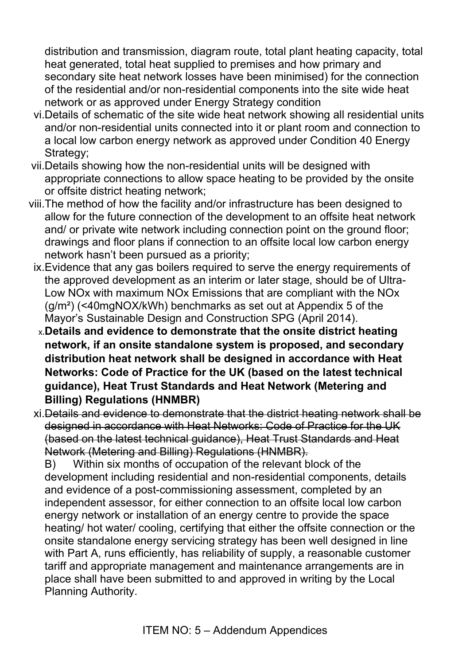distribution and transmission, diagram route, total plant heating capacity, total heat generated, total heat supplied to premises and how primary and secondary site heat network losses have been minimised) for the connection of the residential and/or non-residential components into the site wide heat network or as approved under Energy Strategy condition

- vi.Details of schematic of the site wide heat network showing all residential units and/or non-residential units connected into it or plant room and connection to a local low carbon energy network as approved under Condition 40 Energy Strategy:
- vii.Details showing how the non-residential units will be designed with appropriate connections to allow space heating to be provided by the onsite or offsite district heating network;
- viii.The method of how the facility and/or infrastructure has been designed to allow for the future connection of the development to an offsite heat network and/ or private wite network including connection point on the ground floor; drawings and floor plans if connection to an offsite local low carbon energy network hasn't been pursued as a priority;
	- ix.Evidence that any gas boilers required to serve the energy requirements of the approved development as an interim or later stage, should be of Ultra-Low NOx with maximum NOx Emissions that are compliant with the NOx (g/m²) (<40mgNOX/kWh) benchmarks as set out at Appendix 5 of the Mayor's Sustainable Design and Construction SPG (April 2014).
	- x.**Details and evidence to demonstrate that the onsite district heating network, if an onsite standalone system is proposed, and secondary distribution heat network shall be designed in accordance with Heat Networks: Code of Practice for the UK (based on the latest technical guidance), Heat Trust Standards and Heat Network (Metering and Billing) Regulations (HNMBR)**
	- xi.Details and evidence to demonstrate that the district heating network shall be designed in accordance with Heat Networks: Code of Practice for the UK (based on the latest technical guidance), Heat Trust Standards and Heat Network (Metering and Billing) Regulations (HNMBR).

B) Within six months of occupation of the relevant block of the development including residential and non-residential components, details and evidence of a post-commissioning assessment, completed by an independent assessor, for either connection to an offsite local low carbon energy network or installation of an energy centre to provide the space heating/ hot water/ cooling, certifying that either the offsite connection or the onsite standalone energy servicing strategy has been well designed in line with Part A, runs efficiently, has reliability of supply, a reasonable customer tariff and appropriate management and maintenance arrangements are in place shall have been submitted to and approved in writing by the Local Planning Authority.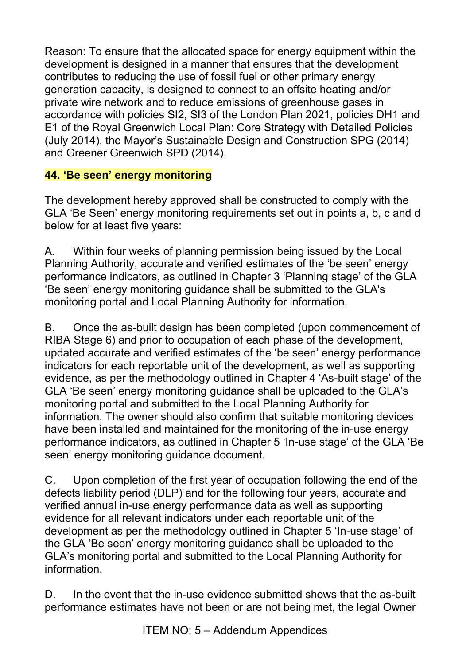Reason: To ensure that the allocated space for energy equipment within the development is designed in a manner that ensures that the development contributes to reducing the use of fossil fuel or other primary energy generation capacity, is designed to connect to an offsite heating and/or private wire network and to reduce emissions of greenhouse gases in accordance with policies SI2, SI3 of the London Plan 2021, policies DH1 and E1 of the Royal Greenwich Local Plan: Core Strategy with Detailed Policies (July 2014), the Mayor's Sustainable Design and Construction SPG (2014) and Greener Greenwich SPD (2014).

### **44. 'Be seen' energy monitoring**

The development hereby approved shall be constructed to comply with the GLA 'Be Seen' energy monitoring requirements set out in points a, b, c and d below for at least five years:

A. Within four weeks of planning permission being issued by the Local Planning Authority, accurate and verified estimates of the 'be seen' energy performance indicators, as outlined in Chapter 3 'Planning stage' of the GLA 'Be seen' energy monitoring guidance shall be submitted to the GLA's monitoring portal and Local Planning Authority for information.

B. Once the as-built design has been completed (upon commencement of RIBA Stage 6) and prior to occupation of each phase of the development, updated accurate and verified estimates of the 'be seen' energy performance indicators for each reportable unit of the development, as well as supporting evidence, as per the methodology outlined in Chapter 4 'As-built stage' of the GLA 'Be seen' energy monitoring guidance shall be uploaded to the GLA's monitoring portal and submitted to the Local Planning Authority for information. The owner should also confirm that suitable monitoring devices have been installed and maintained for the monitoring of the in-use energy performance indicators, as outlined in Chapter 5 'In-use stage' of the GLA 'Be seen' energy monitoring guidance document.

C. Upon completion of the first year of occupation following the end of the defects liability period (DLP) and for the following four years, accurate and verified annual in-use energy performance data as well as supporting evidence for all relevant indicators under each reportable unit of the development as per the methodology outlined in Chapter 5 'In-use stage' of the GLA 'Be seen' energy monitoring guidance shall be uploaded to the GLA's monitoring portal and submitted to the Local Planning Authority for information.

D. In the event that the in-use evidence submitted shows that the as-built performance estimates have not been or are not being met, the legal Owner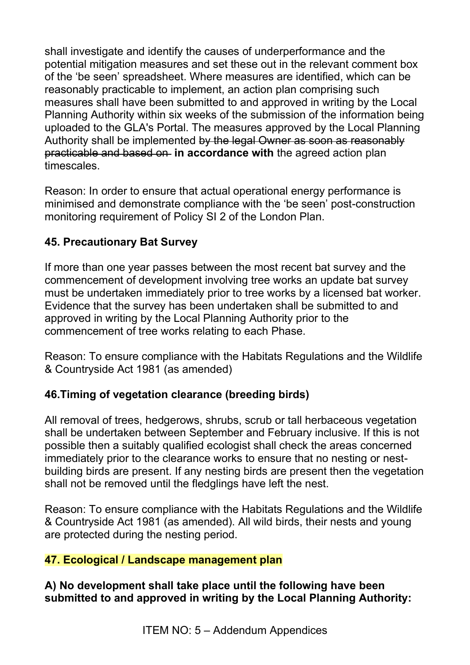shall investigate and identify the causes of underperformance and the potential mitigation measures and set these out in the relevant comment box of the 'be seen' spreadsheet. Where measures are identified, which can be reasonably practicable to implement, an action plan comprising such measures shall have been submitted to and approved in writing by the Local Planning Authority within six weeks of the submission of the information being uploaded to the GLA's Portal. The measures approved by the Local Planning Authority shall be implemented by the legal Owner as soon as reasonably practicable and based on **in accordance with** the agreed action plan timescales.

Reason: In order to ensure that actual operational energy performance is minimised and demonstrate compliance with the 'be seen' post-construction monitoring requirement of Policy SI 2 of the London Plan.

### **45. Precautionary Bat Survey**

If more than one year passes between the most recent bat survey and the commencement of development involving tree works an update bat survey must be undertaken immediately prior to tree works by a licensed bat worker. Evidence that the survey has been undertaken shall be submitted to and approved in writing by the Local Planning Authority prior to the commencement of tree works relating to each Phase.

Reason: To ensure compliance with the Habitats Regulations and the Wildlife & Countryside Act 1981 (as amended)

### **46.Timing of vegetation clearance (breeding birds)**

All removal of trees, hedgerows, shrubs, scrub or tall herbaceous vegetation shall be undertaken between September and February inclusive. If this is not possible then a suitably qualified ecologist shall check the areas concerned immediately prior to the clearance works to ensure that no nesting or nestbuilding birds are present. If any nesting birds are present then the vegetation shall not be removed until the fledglings have left the nest.

Reason: To ensure compliance with the Habitats Regulations and the Wildlife & Countryside Act 1981 (as amended). All wild birds, their nests and young are protected during the nesting period.

#### **47. Ecological / Landscape management plan**

**A) No development shall take place until the following have been submitted to and approved in writing by the Local Planning Authority:**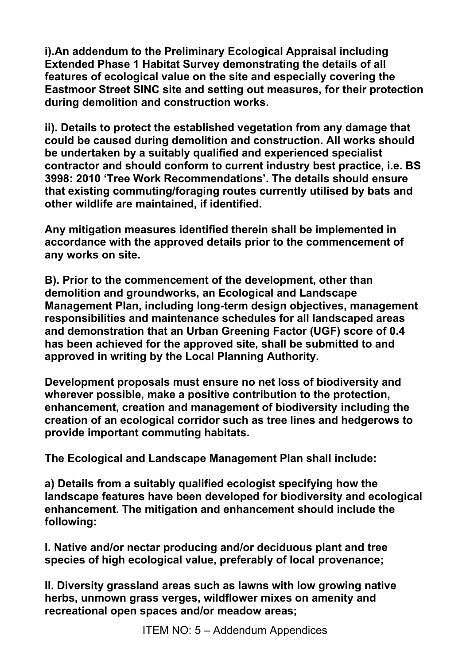**i).An addendum to the Preliminary Ecological Appraisal including Extended Phase 1 Habitat Survey demonstrating the details of all features of ecological value on the site and especially covering the Eastmoor Street SINC site and setting out measures, for their protection during demolition and construction works.** 

**ii). Details to protect the established vegetation from any damage that could be caused during demolition and construction. All works should be undertaken by a suitably qualified and experienced specialist contractor and should conform to current industry best practice, i.e. BS 3998: 2010 'Tree Work Recommendations'. The details should ensure that existing commuting/foraging routes currently utilised by bats and other wildlife are maintained, if identified.** 

**Any mitigation measures identified therein shall be implemented in accordance with the approved details prior to the commencement of any works on site.** 

**B). Prior to the commencement of the development, other than demolition and groundworks, an Ecological and Landscape Management Plan, including long-term design objectives, management responsibilities and maintenance schedules for all landscaped areas and demonstration that an Urban Greening Factor (UGF) score of 0.4 has been achieved for the approved site, shall be submitted to and approved in writing by the Local Planning Authority.**

**Development proposals must ensure no net loss of biodiversity and wherever possible, make a positive contribution to the protection, enhancement, creation and management of biodiversity including the creation of an ecological corridor such as tree lines and hedgerows to provide important commuting habitats.** 

**The Ecological and Landscape Management Plan shall include:** 

**a) Details from a suitably qualified ecologist specifying how the landscape features have been developed for biodiversity and ecological enhancement. The mitigation and enhancement should include the following:** 

**I. Native and/or nectar producing and/or deciduous plant and tree species of high ecological value, preferably of local provenance;**

**II. Diversity grassland areas such as lawns with low growing native herbs, unmown grass verges, wildflower mixes on amenity and recreational open spaces and/or meadow areas;**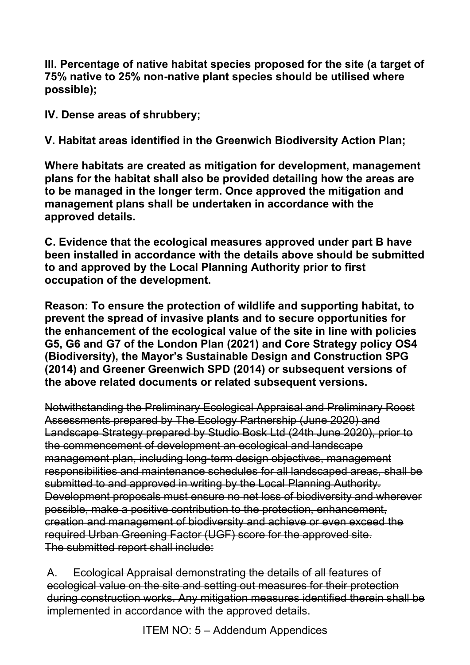**III. Percentage of native habitat species proposed for the site (a target of 75% native to 25% non-native plant species should be utilised where possible);** 

**IV. Dense areas of shrubbery;** 

**V. Habitat areas identified in the Greenwich Biodiversity Action Plan;**

**Where habitats are created as mitigation for development, management plans for the habitat shall also be provided detailing how the areas are to be managed in the longer term. Once approved the mitigation and management plans shall be undertaken in accordance with the approved details.** 

**C. Evidence that the ecological measures approved under part B have been installed in accordance with the details above should be submitted to and approved by the Local Planning Authority prior to first occupation of the development.**

**Reason: To ensure the protection of wildlife and supporting habitat, to prevent the spread of invasive plants and to secure opportunities for the enhancement of the ecological value of the site in line with policies G5, G6 and G7 of the London Plan (2021) and Core Strategy policy OS4 (Biodiversity), the Mayor's Sustainable Design and Construction SPG (2014) and Greener Greenwich SPD (2014) or subsequent versions of the above related documents or related subsequent versions.** 

Notwithstanding the Preliminary Ecological Appraisal and Preliminary Roost Assessments prepared by The Ecology Partnership (June 2020) and Landscape Strategy prepared by Studio Bosk Ltd (24th June 2020), prior to the commencement of development an ecological and landscape management plan, including long-term design objectives, management responsibilities and maintenance schedules for all landscaped areas, shall be submitted to and approved in writing by the Local Planning Authority. Development proposals must ensure no net loss of biodiversity and wherever possible, make a positive contribution to the protection, enhancement, creation and management of biodiversity and achieve or even exceed the required Urban Greening Factor (UGF) score for the approved site. The submitted report shall include:

A. Ecological Appraisal demonstrating the details of all features of ecological value on the site and setting out measures for their protection during construction works. Any mitigation measures identified therein shall be implemented in accordance with the approved details.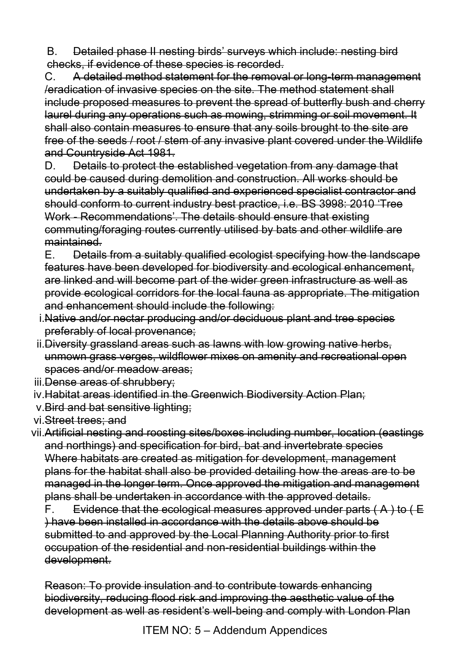B. Detailed phase II nesting birds' surveys which include: nesting bird checks, if evidence of these species is recorded.

C. A detailed method statement for the removal or long-term management /eradication of invasive species on the site. The method statement shall include proposed measures to prevent the spread of butterfly bush and cherry laurel during any operations such as mowing, strimming or soil movement. It shall also contain measures to ensure that any soils brought to the site are free of the seeds / root / stem of any invasive plant covered under the Wildlife and Countryside Act 1981.

D. Details to protect the established vegetation from any damage that could be caused during demolition and construction. All works should be undertaken by a suitably qualified and experienced specialist contractor and should conform to current industry best practice, i.e. BS 3998: 2010 'Tree Work - Recommendations'. The details should ensure that existing commuting/foraging routes currently utilised by bats and other wildlife are maintained.

E. Details from a suitably qualified ecologist specifying how the landscape features have been developed for biodiversity and ecological enhancement, are linked and will become part of the wider green infrastructure as well as provide ecological corridors for the local fauna as appropriate. The mitigation and enhancement should include the following:

- i.Native and/or nectar producing and/or deciduous plant and tree species preferably of local provenance;
- ii.Diversity grassland areas such as lawns with low growing native herbs, unmown grass verges, wildflower mixes on amenity and recreational open spaces and/or meadow areas;
- iii. Dense areas of shrubbery;
- iv.Habitat areas identified in the Greenwich Biodiversity Action Plan;
- v.Bird and bat sensitive lighting;
- vi.Street trees; and

vii.Artificial nesting and roosting sites/boxes including number, location (eastings and northings) and specification for bird, bat and invertebrate species Where habitats are created as mitigation for development, management plans for the habitat shall also be provided detailing how the areas are to be managed in the longer term. Once approved the mitigation and management plans shall be undertaken in accordance with the approved details.

F. Evidence that the ecological measures approved under parts  $(A)$  to  $(E)$ ) have been installed in accordance with the details above should be submitted to and approved by the Local Planning Authority prior to first occupation of the residential and non-residential buildings within the development.

Reason: To provide insulation and to contribute towards enhancing biodiversity, reducing flood risk and improving the aesthetic value of the development as well as resident's well-being and comply with London Plan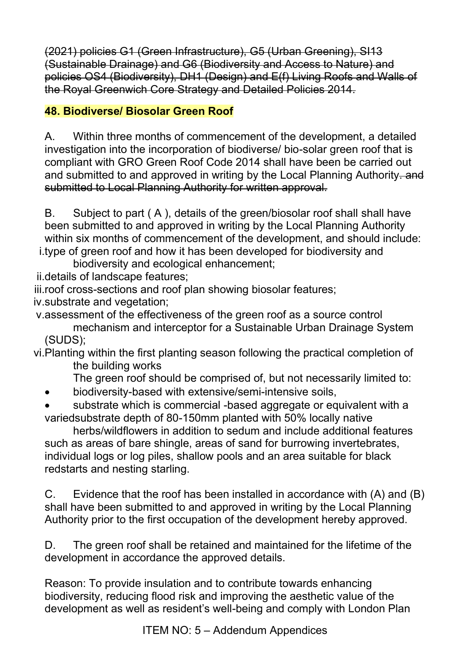(2021) policies G1 (Green Infrastructure), G5 (Urban Greening), SI13 (Sustainable Drainage) and G6 (Biodiversity and Access to Nature) and policies OS4 (Biodiversity), DH1 (Design) and E(f) Living Roofs and Walls of the Royal Greenwich Core Strategy and Detailed Policies 2014.

### **48. Biodiverse/ Biosolar Green Roof**

A. Within three months of commencement of the development, a detailed investigation into the incorporation of biodiverse/ bio-solar green roof that is compliant with GRO Green Roof Code 2014 shall have been be carried out and submitted to and approved in writing by the Local Planning Authority-and submitted to Local Planning Authority for written approval.

B. Subject to part ( A ), details of the green/biosolar roof shall shall have been submitted to and approved in writing by the Local Planning Authority within six months of commencement of the development, and should include: i.type of green roof and how it has been developed for biodiversity and

biodiversity and ecological enhancement;

ii.details of landscape features;

iii.roof cross-sections and roof plan showing biosolar features;

iv.substrate and vegetation;

v.assessment of the effectiveness of the green roof as a source control mechanism and interceptor for a Sustainable Urban Drainage System (SUDS);

vi.Planting within the first planting season following the practical completion of the building works

The green roof should be comprised of, but not necessarily limited to:

• biodiversity-based with extensive/semi-intensive soils,

substrate which is commercial -based aggregate or equivalent with a variedsubstrate depth of 80-150mm planted with 50% locally native

 herbs/wildflowers in addition to sedum and include additional features such as areas of bare shingle, areas of sand for burrowing invertebrates, individual logs or log piles, shallow pools and an area suitable for black redstarts and nesting starling.

C. Evidence that the roof has been installed in accordance with (A) and (B) shall have been submitted to and approved in writing by the Local Planning Authority prior to the first occupation of the development hereby approved.

D. The green roof shall be retained and maintained for the lifetime of the development in accordance the approved details.

Reason: To provide insulation and to contribute towards enhancing biodiversity, reducing flood risk and improving the aesthetic value of the development as well as resident's well-being and comply with London Plan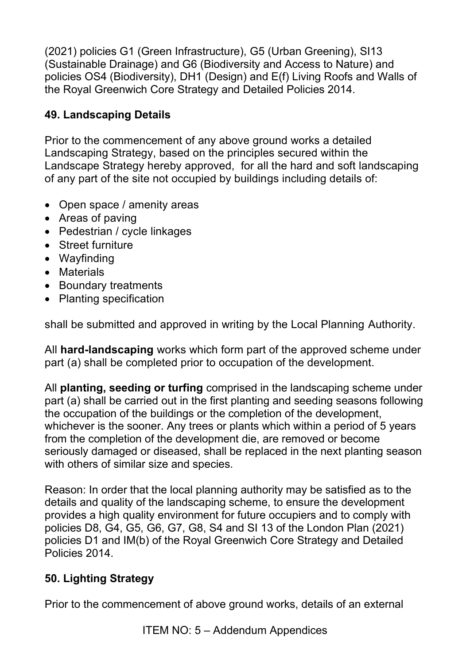(2021) policies G1 (Green Infrastructure), G5 (Urban Greening), SI13 (Sustainable Drainage) and G6 (Biodiversity and Access to Nature) and policies OS4 (Biodiversity), DH1 (Design) and E(f) Living Roofs and Walls of the Royal Greenwich Core Strategy and Detailed Policies 2014.

# **49. Landscaping Details**

Prior to the commencement of any above ground works a detailed Landscaping Strategy, based on the principles secured within the Landscape Strategy hereby approved, for all the hard and soft landscaping of any part of the site not occupied by buildings including details of:

- Open space / amenity areas
- Areas of paving
- Pedestrian / cycle linkages
- Street furniture
- Wayfinding
- Materials
- Boundary treatments
- Planting specification

shall be submitted and approved in writing by the Local Planning Authority.

All **hard-landscaping** works which form part of the approved scheme under part (a) shall be completed prior to occupation of the development.

All **planting, seeding or turfing** comprised in the landscaping scheme under part (a) shall be carried out in the first planting and seeding seasons following the occupation of the buildings or the completion of the development, whichever is the sooner. Any trees or plants which within a period of 5 years from the completion of the development die, are removed or become seriously damaged or diseased, shall be replaced in the next planting season with others of similar size and species.

Reason: In order that the local planning authority may be satisfied as to the details and quality of the landscaping scheme, to ensure the development provides a high quality environment for future occupiers and to comply with policies D8, G4, G5, G6, G7, G8, S4 and SI 13 of the London Plan (2021) policies D1 and IM(b) of the Royal Greenwich Core Strategy and Detailed Policies 2014.

# **50. Lighting Strategy**

Prior to the commencement of above ground works, details of an external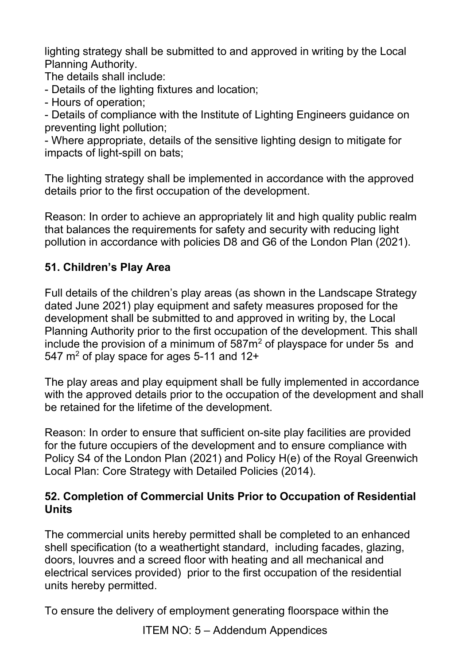lighting strategy shall be submitted to and approved in writing by the Local Planning Authority.

The details shall include:

- Details of the lighting fixtures and location;
- Hours of operation;

- Details of compliance with the Institute of Lighting Engineers guidance on preventing light pollution;

- Where appropriate, details of the sensitive lighting design to mitigate for impacts of light-spill on bats;

The lighting strategy shall be implemented in accordance with the approved details prior to the first occupation of the development.

Reason: In order to achieve an appropriately lit and high quality public realm that balances the requirements for safety and security with reducing light pollution in accordance with policies D8 and G6 of the London Plan (2021).

### **51. Children's Play Area**

Full details of the children's play areas (as shown in the Landscape Strategy dated June 2021) play equipment and safety measures proposed for the development shall be submitted to and approved in writing by, the Local Planning Authority prior to the first occupation of the development. This shall include the provision of a minimum of  $587m<sup>2</sup>$  of playspace for under 5s and 547  $\mathrm{m}^2$  of play space for ages 5-11 and 12+

The play areas and play equipment shall be fully implemented in accordance with the approved details prior to the occupation of the development and shall be retained for the lifetime of the development.

Reason: In order to ensure that sufficient on-site play facilities are provided for the future occupiers of the development and to ensure compliance with Policy S4 of the London Plan (2021) and Policy H(e) of the Royal Greenwich Local Plan: Core Strategy with Detailed Policies (2014).

#### **52. Completion of Commercial Units Prior to Occupation of Residential Units**

The commercial units hereby permitted shall be completed to an enhanced shell specification (to a weathertight standard, including facades, glazing, doors, louvres and a screed floor with heating and all mechanical and electrical services provided) prior to the first occupation of the residential units hereby permitted.

To ensure the delivery of employment generating floorspace within the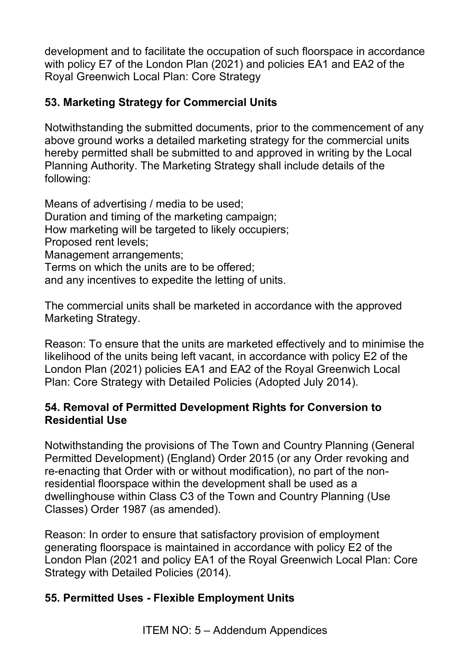development and to facilitate the occupation of such floorspace in accordance with policy E7 of the London Plan (2021) and policies EA1 and EA2 of the Royal Greenwich Local Plan: Core Strategy

### **53. Marketing Strategy for Commercial Units**

Notwithstanding the submitted documents, prior to the commencement of any above ground works a detailed marketing strategy for the commercial units hereby permitted shall be submitted to and approved in writing by the Local Planning Authority. The Marketing Strategy shall include details of the following:

Means of advertising / media to be used; Duration and timing of the marketing campaign; How marketing will be targeted to likely occupiers; Proposed rent levels; Management arrangements; Terms on which the units are to be offered; and any incentives to expedite the letting of units.

The commercial units shall be marketed in accordance with the approved Marketing Strategy.

Reason: To ensure that the units are marketed effectively and to minimise the likelihood of the units being left vacant, in accordance with policy E2 of the London Plan (2021) policies EA1 and EA2 of the Royal Greenwich Local Plan: Core Strategy with Detailed Policies (Adopted July 2014).

#### **54. Removal of Permitted Development Rights for Conversion to Residential Use**

Notwithstanding the provisions of The Town and Country Planning (General Permitted Development) (England) Order 2015 (or any Order revoking and re-enacting that Order with or without modification), no part of the nonresidential floorspace within the development shall be used as a dwellinghouse within Class C3 of the Town and Country Planning (Use Classes) Order 1987 (as amended).

Reason: In order to ensure that satisfactory provision of employment generating floorspace is maintained in accordance with policy E2 of the London Plan (2021 and policy EA1 of the Royal Greenwich Local Plan: Core Strategy with Detailed Policies (2014).

### **55. Permitted Uses - Flexible Employment Units**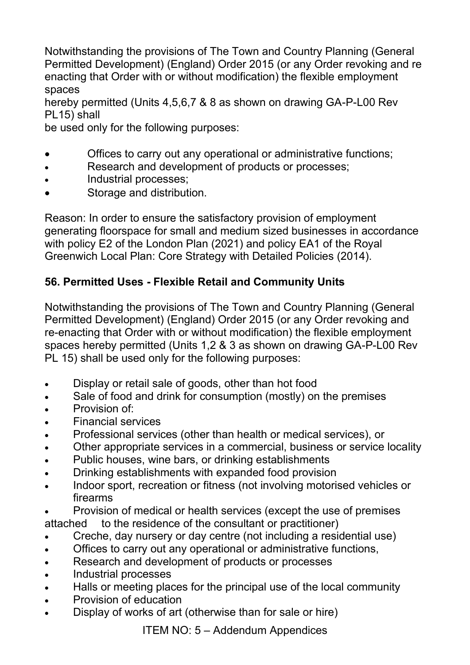Notwithstanding the provisions of The Town and Country Planning (General Permitted Development) (England) Order 2015 (or any Order revoking and re enacting that Order with or without modification) the flexible employment spaces

hereby permitted (Units 4,5,6,7 & 8 as shown on drawing GA-P-L00 Rev PL15) shall

be used only for the following purposes:

- Offices to carry out any operational or administrative functions;
- Research and development of products or processes;
- Industrial processes;
- Storage and distribution.

Reason: In order to ensure the satisfactory provision of employment generating floorspace for small and medium sized businesses in accordance with policy E2 of the London Plan (2021) and policy EA1 of the Royal Greenwich Local Plan: Core Strategy with Detailed Policies (2014).

### **56. Permitted Uses - Flexible Retail and Community Units**

Notwithstanding the provisions of The Town and Country Planning (General Permitted Development) (England) Order 2015 (or any Order revoking and re-enacting that Order with or without modification) the flexible employment spaces hereby permitted (Units 1,2 & 3 as shown on drawing GA-P-L00 Rev PL 15) shall be used only for the following purposes:

- Display or retail sale of goods, other than hot food
- Sale of food and drink for consumption (mostly) on the premises
- Provision of:
- Financial services
- Professional services (other than health or medical services), or
- Other appropriate services in a commercial, business or service locality
- Public houses, wine bars, or drinking establishments
- Drinking establishments with expanded food provision
- Indoor sport, recreation or fitness (not involving motorised vehicles or firearms
- Provision of medical or health services (except the use of premises attached to the residence of the consultant or practitioner)
- Creche, day nursery or day centre (not including a residential use)
- Offices to carry out any operational or administrative functions,
- Research and development of products or processes
- Industrial processes
- Halls or meeting places for the principal use of the local community
- Provision of education
- Display of works of art (otherwise than for sale or hire)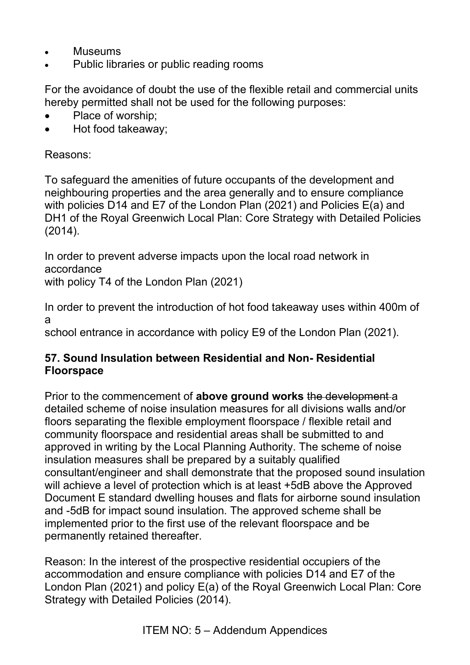- Museums
- Public libraries or public reading rooms

For the avoidance of doubt the use of the flexible retail and commercial units hereby permitted shall not be used for the following purposes:

- Place of worship;
- Hot food takeaway;

Reasons:

To safeguard the amenities of future occupants of the development and neighbouring properties and the area generally and to ensure compliance with policies D14 and E7 of the London Plan (2021) and Policies E(a) and DH1 of the Royal Greenwich Local Plan: Core Strategy with Detailed Policies (2014).

In order to prevent adverse impacts upon the local road network in accordance

with policy T4 of the London Plan (2021)

In order to prevent the introduction of hot food takeaway uses within 400m of a

school entrance in accordance with policy E9 of the London Plan (2021).

#### **57. Sound Insulation between Residential and Non- Residential Floorspace**

Prior to the commencement of **above ground works** the development a detailed scheme of noise insulation measures for all divisions walls and/or floors separating the flexible employment floorspace / flexible retail and community floorspace and residential areas shall be submitted to and approved in writing by the Local Planning Authority. The scheme of noise insulation measures shall be prepared by a suitably qualified consultant/engineer and shall demonstrate that the proposed sound insulation will achieve a level of protection which is at least +5dB above the Approved Document E standard dwelling houses and flats for airborne sound insulation and -5dB for impact sound insulation. The approved scheme shall be implemented prior to the first use of the relevant floorspace and be permanently retained thereafter.

Reason: In the interest of the prospective residential occupiers of the accommodation and ensure compliance with policies D14 and E7 of the London Plan (2021) and policy E(a) of the Royal Greenwich Local Plan: Core Strategy with Detailed Policies (2014).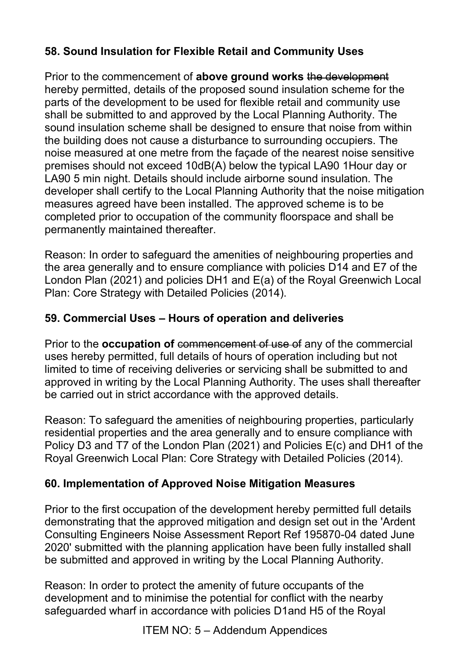## **58. Sound Insulation for Flexible Retail and Community Uses**

Prior to the commencement of **above ground works** the development hereby permitted, details of the proposed sound insulation scheme for the parts of the development to be used for flexible retail and community use shall be submitted to and approved by the Local Planning Authority. The sound insulation scheme shall be designed to ensure that noise from within the building does not cause a disturbance to surrounding occupiers. The noise measured at one metre from the façade of the nearest noise sensitive premises should not exceed 10dB(A) below the typical LA90 1Hour day or LA90 5 min night. Details should include airborne sound insulation. The developer shall certify to the Local Planning Authority that the noise mitigation measures agreed have been installed. The approved scheme is to be completed prior to occupation of the community floorspace and shall be permanently maintained thereafter.

Reason: In order to safeguard the amenities of neighbouring properties and the area generally and to ensure compliance with policies D14 and E7 of the London Plan (2021) and policies DH1 and E(a) of the Royal Greenwich Local Plan: Core Strategy with Detailed Policies (2014).

### **59. Commercial Uses – Hours of operation and deliveries**

Prior to the **occupation of** commencement of use of any of the commercial uses hereby permitted, full details of hours of operation including but not limited to time of receiving deliveries or servicing shall be submitted to and approved in writing by the Local Planning Authority. The uses shall thereafter be carried out in strict accordance with the approved details.

Reason: To safeguard the amenities of neighbouring properties, particularly residential properties and the area generally and to ensure compliance with Policy D3 and T7 of the London Plan (2021) and Policies E(c) and DH1 of the Royal Greenwich Local Plan: Core Strategy with Detailed Policies (2014).

### **60. Implementation of Approved Noise Mitigation Measures**

Prior to the first occupation of the development hereby permitted full details demonstrating that the approved mitigation and design set out in the 'Ardent Consulting Engineers Noise Assessment Report Ref 195870-04 dated June 2020' submitted with the planning application have been fully installed shall be submitted and approved in writing by the Local Planning Authority.

Reason: In order to protect the amenity of future occupants of the development and to minimise the potential for conflict with the nearby safeguarded wharf in accordance with policies D1and H5 of the Royal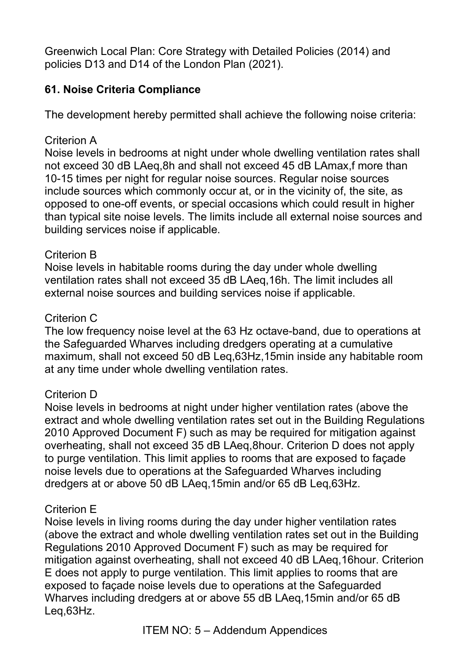Greenwich Local Plan: Core Strategy with Detailed Policies (2014) and policies D13 and D14 of the London Plan (2021).

### **61. Noise Criteria Compliance**

The development hereby permitted shall achieve the following noise criteria:

#### Criterion A

Noise levels in bedrooms at night under whole dwelling ventilation rates shall not exceed 30 dB LAeq,8h and shall not exceed 45 dB LAmax,f more than 10-15 times per night for regular noise sources. Regular noise sources include sources which commonly occur at, or in the vicinity of, the site, as opposed to one-off events, or special occasions which could result in higher than typical site noise levels. The limits include all external noise sources and building services noise if applicable.

#### Criterion B

Noise levels in habitable rooms during the day under whole dwelling ventilation rates shall not exceed 35 dB LAeq,16h. The limit includes all external noise sources and building services noise if applicable.

#### Criterion C

The low frequency noise level at the 63 Hz octave-band, due to operations at the Safeguarded Wharves including dredgers operating at a cumulative maximum, shall not exceed 50 dB Leq,63Hz,15min inside any habitable room at any time under whole dwelling ventilation rates.

### Criterion D

Noise levels in bedrooms at night under higher ventilation rates (above the extract and whole dwelling ventilation rates set out in the Building Regulations 2010 Approved Document F) such as may be required for mitigation against overheating, shall not exceed 35 dB LAeq,8hour. Criterion D does not apply to purge ventilation. This limit applies to rooms that are exposed to façade noise levels due to operations at the Safeguarded Wharves including dredgers at or above 50 dB LAeq,15min and/or 65 dB Leq,63Hz.

#### Criterion E

Noise levels in living rooms during the day under higher ventilation rates (above the extract and whole dwelling ventilation rates set out in the Building Regulations 2010 Approved Document F) such as may be required for mitigation against overheating, shall not exceed 40 dB LAeq,16hour. Criterion E does not apply to purge ventilation. This limit applies to rooms that are exposed to façade noise levels due to operations at the Safeguarded Wharves including dredgers at or above 55 dB LAeq,15min and/or 65 dB Leq,63Hz.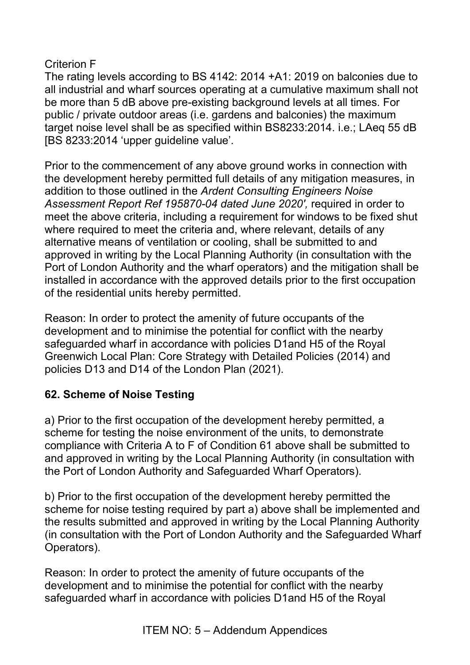#### Criterion F

The rating levels according to BS 4142: 2014 +A1: 2019 on balconies due to all industrial and wharf sources operating at a cumulative maximum shall not be more than 5 dB above pre-existing background levels at all times. For public / private outdoor areas (i.e. gardens and balconies) the maximum target noise level shall be as specified within BS8233:2014. i.e.; LAeq 55 dB [BS 8233:2014 'upper guideline value'.

Prior to the commencement of any above ground works in connection with the development hereby permitted full details of any mitigation measures, in addition to those outlined in the *Ardent Consulting Engineers Noise Assessment Report Ref 195870-04 dated June 2020',* required in order to meet the above criteria, including a requirement for windows to be fixed shut where required to meet the criteria and, where relevant, details of any alternative means of ventilation or cooling, shall be submitted to and approved in writing by the Local Planning Authority (in consultation with the Port of London Authority and the wharf operators) and the mitigation shall be installed in accordance with the approved details prior to the first occupation of the residential units hereby permitted.

Reason: In order to protect the amenity of future occupants of the development and to minimise the potential for conflict with the nearby safeguarded wharf in accordance with policies D1and H5 of the Royal Greenwich Local Plan: Core Strategy with Detailed Policies (2014) and policies D13 and D14 of the London Plan (2021).

### **62. Scheme of Noise Testing**

a) Prior to the first occupation of the development hereby permitted, a scheme for testing the noise environment of the units, to demonstrate compliance with Criteria A to F of Condition 61 above shall be submitted to and approved in writing by the Local Planning Authority (in consultation with the Port of London Authority and Safeguarded Wharf Operators).

b) Prior to the first occupation of the development hereby permitted the scheme for noise testing required by part a) above shall be implemented and the results submitted and approved in writing by the Local Planning Authority (in consultation with the Port of London Authority and the Safeguarded Wharf Operators).

Reason: In order to protect the amenity of future occupants of the development and to minimise the potential for conflict with the nearby safeguarded wharf in accordance with policies D1and H5 of the Royal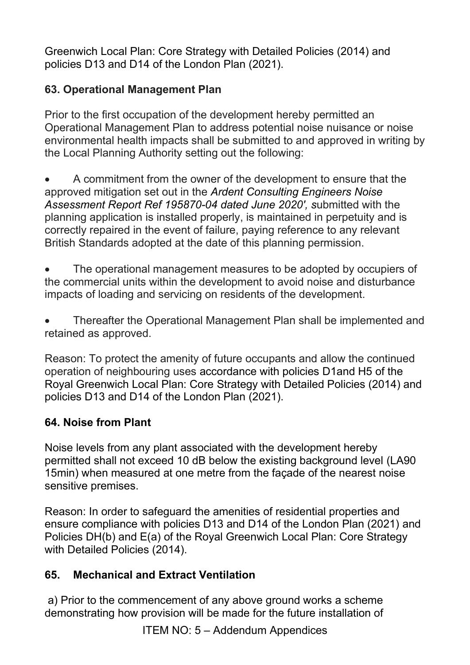Greenwich Local Plan: Core Strategy with Detailed Policies (2014) and policies D13 and D14 of the London Plan (2021).

### **63. Operational Management Plan**

Prior to the first occupation of the development hereby permitted an Operational Management Plan to address potential noise nuisance or noise environmental health impacts shall be submitted to and approved in writing by the Local Planning Authority setting out the following:

• A commitment from the owner of the development to ensure that the approved mitigation set out in the *Ardent Consulting Engineers Noise Assessment Report Ref 195870-04 dated June 2020', s*ubmitted with the planning application is installed properly, is maintained in perpetuity and is correctly repaired in the event of failure, paying reference to any relevant British Standards adopted at the date of this planning permission.

• The operational management measures to be adopted by occupiers of the commercial units within the development to avoid noise and disturbance impacts of loading and servicing on residents of the development.

• Thereafter the Operational Management Plan shall be implemented and retained as approved.

Reason: To protect the amenity of future occupants and allow the continued operation of neighbouring uses accordance with policies D1and H5 of the Royal Greenwich Local Plan: Core Strategy with Detailed Policies (2014) and policies D13 and D14 of the London Plan (2021).

### **64. Noise from Plant**

Noise levels from any plant associated with the development hereby permitted shall not exceed 10 dB below the existing background level (LA90 15min) when measured at one metre from the façade of the nearest noise sensitive premises.

Reason: In order to safeguard the amenities of residential properties and ensure compliance with policies D13 and D14 of the London Plan (2021) and Policies DH(b) and E(a) of the Royal Greenwich Local Plan: Core Strategy with Detailed Policies (2014).

### **65. Mechanical and Extract Ventilation**

 a) Prior to the commencement of any above ground works a scheme demonstrating how provision will be made for the future installation of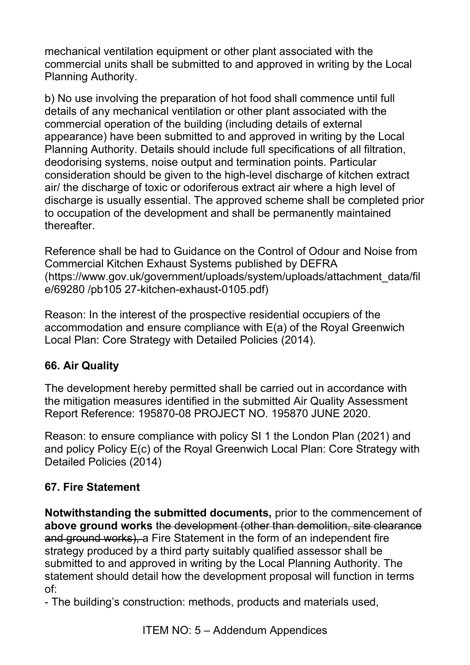mechanical ventilation equipment or other plant associated with the commercial units shall be submitted to and approved in writing by the Local Planning Authority.

b) No use involving the preparation of hot food shall commence until full details of any mechanical ventilation or other plant associated with the commercial operation of the building (including details of external appearance) have been submitted to and approved in writing by the Local Planning Authority. Details should include full specifications of all filtration, deodorising systems, noise output and termination points. Particular consideration should be given to the high-level discharge of kitchen extract air/ the discharge of toxic or odoriferous extract air where a high level of discharge is usually essential. The approved scheme shall be completed prior to occupation of the development and shall be permanently maintained thereafter.

Reference shall be had to Guidance on the Control of Odour and Noise from Commercial Kitchen Exhaust Systems published by DEFRA (https://www.gov.uk/government/uploads/system/uploads/attachment\_data/fil e/69280 /pb105 27-kitchen-exhaust-0105.pdf)

Reason: In the interest of the prospective residential occupiers of the accommodation and ensure compliance with E(a) of the Royal Greenwich Local Plan: Core Strategy with Detailed Policies (2014).

### **66. Air Quality**

The development hereby permitted shall be carried out in accordance with the mitigation measures identified in the submitted Air Quality Assessment Report Reference: 195870-08 PROJECT NO. 195870 JUNE 2020.

Reason: to ensure compliance with policy SI 1 the London Plan (2021) and and policy Policy E(c) of the Royal Greenwich Local Plan: Core Strategy with Detailed Policies (2014)

# **67. Fire Statement**

**Notwithstanding the submitted documents,** prior to the commencement of **above ground works** the development (other than demolition, site clearance and ground works), a Fire Statement in the form of an independent fire strategy produced by a third party suitably qualified assessor shall be submitted to and approved in writing by the Local Planning Authority. The statement should detail how the development proposal will function in terms of:

- The building's construction: methods, products and materials used,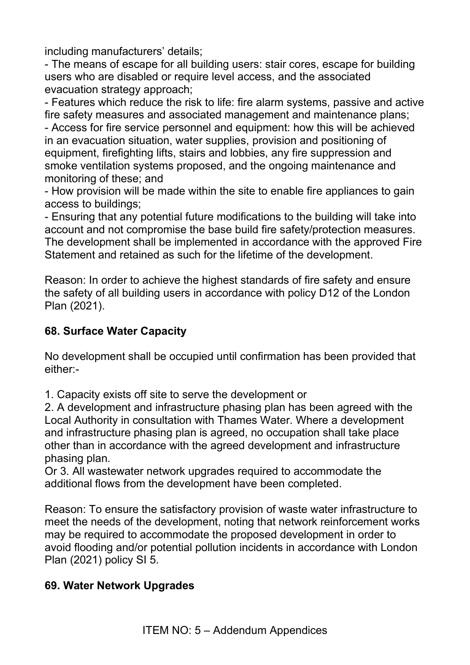including manufacturers' details;

- The means of escape for all building users: stair cores, escape for building users who are disabled or require level access, and the associated evacuation strategy approach;

- Features which reduce the risk to life: fire alarm systems, passive and active fire safety measures and associated management and maintenance plans;

- Access for fire service personnel and equipment: how this will be achieved in an evacuation situation, water supplies, provision and positioning of equipment, firefighting lifts, stairs and lobbies, any fire suppression and smoke ventilation systems proposed, and the ongoing maintenance and monitoring of these; and

- How provision will be made within the site to enable fire appliances to gain access to buildings;

- Ensuring that any potential future modifications to the building will take into account and not compromise the base build fire safety/protection measures. The development shall be implemented in accordance with the approved Fire Statement and retained as such for the lifetime of the development.

Reason: In order to achieve the highest standards of fire safety and ensure the safety of all building users in accordance with policy D12 of the London Plan (2021).

### **68. Surface Water Capacity**

No development shall be occupied until confirmation has been provided that either:-

1. Capacity exists off site to serve the development or

2. A development and infrastructure phasing plan has been agreed with the Local Authority in consultation with Thames Water. Where a development and infrastructure phasing plan is agreed, no occupation shall take place other than in accordance with the agreed development and infrastructure phasing plan.

Or 3. All wastewater network upgrades required to accommodate the additional flows from the development have been completed.

Reason: To ensure the satisfactory provision of waste water infrastructure to meet the needs of the development, noting that network reinforcement works may be required to accommodate the proposed development in order to avoid flooding and/or potential pollution incidents in accordance with London Plan (2021) policy SI 5.

### **69. Water Network Upgrades**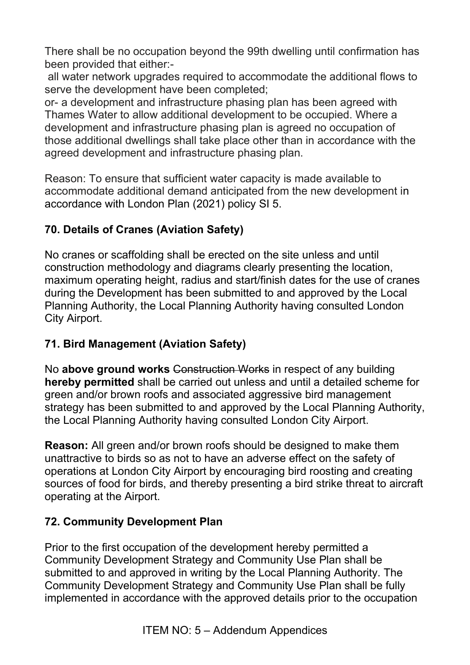There shall be no occupation beyond the 99th dwelling until confirmation has been provided that either:-

 all water network upgrades required to accommodate the additional flows to serve the development have been completed;

or- a development and infrastructure phasing plan has been agreed with Thames Water to allow additional development to be occupied. Where a development and infrastructure phasing plan is agreed no occupation of those additional dwellings shall take place other than in accordance with the agreed development and infrastructure phasing plan.

Reason: To ensure that sufficient water capacity is made available to accommodate additional demand anticipated from the new development in accordance with London Plan (2021) policy SI 5.

## **70. Details of Cranes (Aviation Safety)**

No cranes or scaffolding shall be erected on the site unless and until construction methodology and diagrams clearly presenting the location, maximum operating height, radius and start/finish dates for the use of cranes during the Development has been submitted to and approved by the Local Planning Authority, the Local Planning Authority having consulted London City Airport.

### **71. Bird Management (Aviation Safety)**

No **above ground works** Construction Works in respect of any building **hereby permitted** shall be carried out unless and until a detailed scheme for green and/or brown roofs and associated aggressive bird management strategy has been submitted to and approved by the Local Planning Authority, the Local Planning Authority having consulted London City Airport.

**Reason:** All green and/or brown roofs should be designed to make them unattractive to birds so as not to have an adverse effect on the safety of operations at London City Airport by encouraging bird roosting and creating sources of food for birds, and thereby presenting a bird strike threat to aircraft operating at the Airport.

# **72. Community Development Plan**

Prior to the first occupation of the development hereby permitted a Community Development Strategy and Community Use Plan shall be submitted to and approved in writing by the Local Planning Authority. The Community Development Strategy and Community Use Plan shall be fully implemented in accordance with the approved details prior to the occupation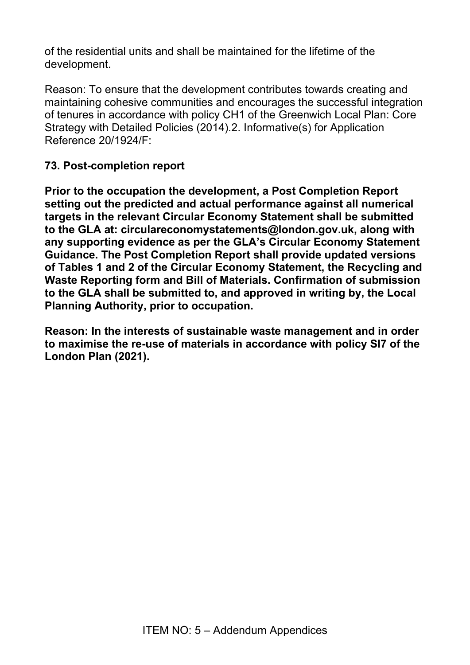of the residential units and shall be maintained for the lifetime of the development.

Reason: To ensure that the development contributes towards creating and maintaining cohesive communities and encourages the successful integration of tenures in accordance with policy CH1 of the Greenwich Local Plan: Core Strategy with Detailed Policies (2014).2. Informative(s) for Application Reference 20/1924/F:

#### **73. Post-completion report**

**Prior to the occupation the development, a Post Completion Report setting out the predicted and actual performance against all numerical targets in the relevant Circular Economy Statement shall be submitted to the GLA at: circulareconomystatements@london.gov.uk, along with any supporting evidence as per the GLA's Circular Economy Statement Guidance. The Post Completion Report shall provide updated versions of Tables 1 and 2 of the Circular Economy Statement, the Recycling and Waste Reporting form and Bill of Materials. Confirmation of submission to the GLA shall be submitted to, and approved in writing by, the Local Planning Authority, prior to occupation.** 

**Reason: In the interests of sustainable waste management and in order to maximise the re-use of materials in accordance with policy SI7 of the London Plan (2021).**